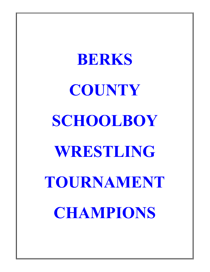**TOURNAMENT CHAMPIONS BERKS COUNTY SCHOOLBOY WRESTLING**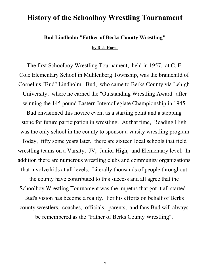# **History of the Schoolboy Wrestling Tournament**

## **Bud Lindholm "Father of Berks County Wrestling"**

**by Dick Horst** 

winning the 145 pound Eastern Intercollegiate Championship in 1945. University, where he earned the "Outstanding Wrestling Award" after The first Schoolboy Wrestling Tournament, held in 1957, at C. E. Cole Elementary School in Muhlenberg Township, was the brainchild of Cornelius "Bud" Lindholm. Bud, who came to Berks County via Lehigh

addition there are numerous wrestling clubs and community organizations that involve kids at all levels. Literally thousands of people throughout Bud envisioned this novice event as a starting point and a stepping stone for future participation in wrestling. At that time, Reading High Today, fifty some years later, there are sixteen local schools that field was the only school in the county to sponsor a varsity wrestling program wrestling teams on a Varsity, JV, Junior High, and Elementary level. In

the county have contributed to this success and all agree that the Schoolboy Wrestling Tournament was the impetus that got it all started.

Bud's vision has become a reality. For his efforts on behalf of Berks county wrestlers, coaches, officials, parents, and fans Bud will always

be remembered as the "Father of Berks County Wrestling".

3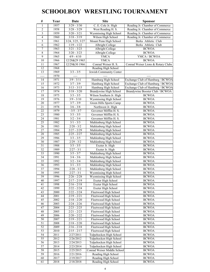# **SCHOOLBOY WRESTLING TOURNAMENT**

| #              | Year | Date                            | <b>Site</b>                 | <b>Sponsor</b>                     |
|----------------|------|---------------------------------|-----------------------------|------------------------------------|
| 1              | 1957 | $3/29 - 3/30$                   | C. E. Cole Jr. High         | Reading Jr. Chamber of Commerce    |
| 2              | 1958 | $3/28 - 3/29$                   | West Reading H. S.          | Reading Jr. Chamber of Commerce    |
| $\mathfrak{Z}$ | 1959 | $3/20 - 3/21$                   | Wyomissing High School      | Reading Jr. Chamber of Commerce    |
| $\overline{4}$ | 1960 | $3/18 - 3/19$                   | Wilson High School          | Reading Jr. Chamber of Commerce    |
| 5              | 1961 | 3/24, 3/25, 3/27                | Mount Penn High School      | Berks Athletic Club                |
| 6              | 1962 | $1/19 - 1/22$                   | Albright College            | Berks Athletic Club                |
| 7              | 1963 | $3/21 - 3/23$                   | Albright College            | <b>BCWOA</b>                       |
| $\,$ 8 $\,$    | 1964 | $3/20 - 3/23$                   | Albright College            | <b>BCWOA</b>                       |
| 9              | 1965 | $4/9 - 4/10$                    | <b>YMCA</b>                 | YMCA / BCWOA                       |
| 10             | 1966 | 12/28&29 1965                   | <b>YMCA</b>                 | <b>BCWOA</b>                       |
| 11             | 1967 | 12/29&30 1966                   | Conrad Weiser H. S.         | Conrad Weiser Lions & Rotary Clubs |
| 12             | 1968 |                                 | Reading High School         |                                    |
| 13             | 1969 | $3/3 - 3/5$                     | Jewish Community Center     |                                    |
| ----           | 1970 | $---$                           | ----                        |                                    |
| 14             | 1971 | $3/9 - 3/11$                    | Hamburg High School         | Exchange Club of Hamburg / BCWOA   |
| 15             | 1972 | $3/7 - 3/9$                     | Hamburg High School         | Exchange Club of Hamburg / BCWOA   |
| 16             | 1973 | $\frac{1}{3/13} - \frac{3}{15}$ | Hamburg High School         | Exchange Club of Hamburg / BCWOA   |
| 17             | 1974 | $3/18 - 3/20$                   | Brandywine High School      | Brandywine Booster Club / BCWOA    |
| 18             | 1975 | $3/3 - 3/5$                     | Wilson Southern Jr. High    | <b>BCWOA</b>                       |
| 19             | 1976 | $\frac{1}{3/9} - \frac{3}{10}$  | Wyomissing High School      | <b>BCWOA</b>                       |
| 20             | 1977 | $3/7 - 3/9$                     | Green Hills Sports Camp     | <b>BCWOA</b>                       |
| 21             | 1978 | $3/6 - 3/8$                     | Northwest Jr. High          | <b>BCWOA</b>                       |
| 22             | 1979 | $-3/5 - 3/7$                    | Governor Mifflin H. S.      | <b>BCWOA</b>                       |
| 23             | 1980 | $3/3 - 3/5$                     | Governor Mifflin H. S.      | <b>BCWOA</b>                       |
| 24             | 1981 | $3/2 - 3/4$                     | Governor Mifflin H. S.      | <b>BCWOA</b>                       |
| 25             | 1982 | $3/1 - 3/3$                     | Muhlenberg High School      | <b>BCWOA</b>                       |
| 26             | 1983 | $2/28 - 3/2$                    | Muhlenberg High School      | <b>BCWOA</b>                       |
| $27\,$         | 1984 | $2/27 - 2/29$                   | Muhlenberg High School      | <b>BCWOA</b>                       |
| 28             | 1985 | $2/25 - 2/27$                   | Muhlenberg High School      | <b>BCWOA</b>                       |
| 29             | 1986 | $3/3 - 3/5$                     | Muhlenberg High School      | <b>BCWOA</b>                       |
| 30             | 1987 | $2/29 - 3/2$                    | Muhlenberg High School      | <b>BCWOA</b>                       |
| 31             | 1988 | $3/3 - 3/5$                     | Exeter Jr. High             | <b>BCWOA</b>                       |
| 32             | 1989 | $2/27 - 3/1$                    | Exeter Jr. High             | <b>BCWOA</b>                       |
| 33             | 1990 | $3/5 - 3/7$                     | Muhlenberg High School      | <b>BCWOA</b>                       |
| 34             | 1991 | $3/4 - 3/6$                     | Muhlenberg High School      | <b>BCWOA</b>                       |
| 35             | 1992 | $3/2 - 3/4$                     | Muhlenberg High School      | <b>BCWOA</b>                       |
| 36             | 1993 | $3/1 - 3/3$                     | Muhlenberg High School      | <b>BCWOA</b>                       |
| 37             | 1994 | $2/28 - 3/2$                    | Muhlenberg High School      | <b>BCWOA</b>                       |
| 38             | 1995 | $2/27 - 3/1$                    | Wyomissing High School      | <b>BCWOA</b>                       |
| 39             | 1996 | $2/26 - 2/28$                   | Wyomissing High School      | <b>BCWOA</b>                       |
| 40             | 1997 | $2/17 - 2/19$                   | Exeter High School          | <b>BCWOA</b>                       |
| 41             | 1998 | $2/16 - 2/18$                   | Exeter High School          | <b>BCWOA</b>                       |
| 42             | 1999 | $2/22 - 2/24$                   | Exeter High School          | <b>BCWOA</b>                       |
| 43             | 2000 | $2/22 - 2/24$                   | Fleetwood High School       | <b>BCWOA</b>                       |
| $44\,$         | 2001 | $2/19 - 2/21$                   | Fleetwood High School       | <b>BCWOA</b>                       |
| 45             | 2002 | $2/18 - 2/20$                   | Fleetwood High School       | <b>BCWOA</b>                       |
| 46             | 2003 | $2/24 - 2/26$                   | Fleetwood High School       | <b>BCWOA</b>                       |
| 47             | 2004 | $2/23 - 2/25$                   | Fleetwood High School       | <b>BCWOA</b>                       |
| 48             | 2005 | $2/21 - 2/23$                   | Fleetwood High School       | <b>BCWOA</b>                       |
| 49             | 2006 | $2/20 - 2/22$                   | Fleetwood High School       | <b>BCWOA</b>                       |
| 50             | 2007 | $2/19 - 2/21$                   | Fleetwood High School       | <b>BCWOA</b>                       |
| 51             | 2008 | $2/18 - 2/20$                   | Fleetwood High School       | <b>BCWOA</b>                       |
| 52             | 2009 | $2/16 - 2/18$                   | Fleetwood High School       | <b>BCWOA</b>                       |
| 53             | 2010 | $2/15 - 2/17$                   | Fleetwood High School       | <b>BCWOA</b>                       |
| 54             | 2011 | 2/27/2011                       | Tulpehocken High School     | <b>BCWOA</b>                       |
| 55             | 2012 | 2/26/2012                       | Tulpehocken High School     | <b>BCWOA</b>                       |
| 56             | 2013 | 2/24/2013                       | Tulpehocken High School     | <b>BCWOA</b>                       |
| 57             | 2014 | 2/23/2014                       | Tulpehocken High School     | <b>BCWOA</b>                       |
| 58             | 2015 | 2/25/2015                       | Conrad Weiser Middle School | <b>BCWOA</b>                       |
| 59             | 2016 | 2/21/2016                       | Reading High School         | <b>BCWOA</b>                       |
| 60             | 2017 | 2/19/2017                       | Reading High School         | <b>BCWOA</b>                       |
| 61             | 2018 | 2/18/2018                       | Reading High School         | <b>BCWOA</b>                       |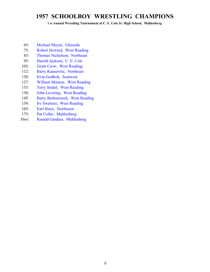**1 st Annual Wrestling Tournament at C. E. Cole Jr. High School, Muhlenberg**

- 65: Michael Moyer, Glenside
- 75: Robert Howard, West Reading
- 85: Thomas Nicholson, Northeast
- 95: Harold Jackson, C. E. Cole
- 103: Grant Crow, West Reading
- 112: Barry Kausewitz, Northeast
- 120: Irvin Godbolt, Soutwest
- 127: William Monroe, West Reading
- 133: Terry Seidel, West Reading
- 138: John Levering, West Reading
- 145: Barry Berkenstock, West Reading
- 154: Irv Sweitzer, West Reading
- 165: Earl Horst, Northwest
- 175: Pat Coller, Muhlenberg
- Hwt: Ronald Gardner, Muhlenberg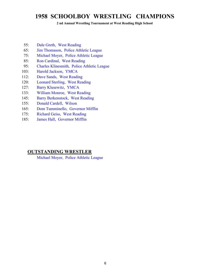**2 nd Annual Wrestling Tournament at West Reading High School**

- 55: Dale Greth, West Reading
- 65: Jim Thomason, Police Athletic League
- 75: Michael Moyer, Police Athletic League
- 85: Ron Cardinal, West Reading
- 95: Charles Klinesmith, Police Athletic League
- 103: Harold Jackson, YMCA
- 112: Dave Sands, West Reading
- 120: Leonard Sterling, West Reading
- 127: Barry Klusewitz, YMCA
- 133: William Monroe, West Reading
- 145: Barry Berkenstock, West Reading
- 155: Donald Cardell, Wilson
- 165: Dom Tumminello, Governor Mifflin
- 175: Richard Geiss, West Reading
- 185: James Hall, Governor Mifflin

## **OUTSTANDING WRESTLER**

Michael Moyer, Police Athletic League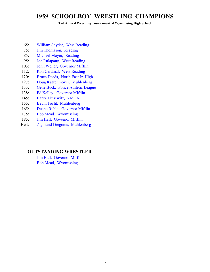**3 rd Annual Wrestling Tournament at Wyomissing High School**

- 65: William Snyder, West Reading
- 75: Jim Thomason, Reading
- 85: Michael Moyer, Reading
- 95: Joe Rulapaug, West Reading
- 103: John Weiler, Governor Mifflin
- 112: Ron Cardinal, West Reading
- 120: Bruce Deeds, North East Jr. High
- 127: Doug Katzenmoyer, Muhlenberg
- 133: Gene Buck, Police Athletic League
- 138: Ed Kelley, Governor Mifflin
- 145: Barry Klusewitz, YMCA
- 155: Bevin Focht, Muhlenberg
- 165: Duane Ruble, Governor Mifflin
- 175: Bob Mead, Wyomissing
- 185: Jim Hall, Governor Mifflin
- Hwt: Zigmund Gregonis, Muhlenberg

## **OUTSTANDING WRESTLER**

Jim Hall, Governor Mifflin Bob Mead, Wyomissing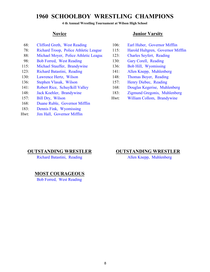### **4 th Annual Wrestling Tournament at Wilson High School**

- 68: Clifford Greth, West Reading 106: Earl Huber, Governor Mifflin
- 78: Richard Troop, Police Athletic League 115: Harold Hultgren, Governor Mifflin
- 88: Michael Moyer, Police Athletic League 123: Charles Seyfert, Reading
- 98: Bob Forred, West Reading 130: Gary Corell, Reading
- 115: Michael Stauffer, Brandywine 136: Bob Hill, Wyomissing
- 123: Richard Batastini, Reading 141: Allen Knepp, Muhlenberg
- 130: Lawrence Hertz, Wilson 148: Thomas Boyer, Reading
- 136: Stephen Vlasak, Wilson 157: Henry Diebec, Reading
- 141: Robert Rice, Schuylkill Valley 168: Douglas Kegerise, Muhlenberg
- 
- 
- 168: Duane Ruble, Governor Mifflin
- 183: Dennis Fink, Wyomissing
- Hwt: Jim Hall, Governor Mifflin

### **Novice Junior Varsity**

- 
- 
- 
- 
- 
- 
- 
- 
- 
- 148: Jack Koehler, Brandywine 183: Zigmund Gregonis, Muhlenberg
- 157: Bill Dry, Wilson Hwt: William Collom, Brandywine

### **OUTSTANDING WRESTLER**

Richard Batastini, Reading Allen Knepp, Muhlenberg

### **MOST COURAGEOUS**

Bob Forred, West Reading

## **OUTSTANDING WRESTLER**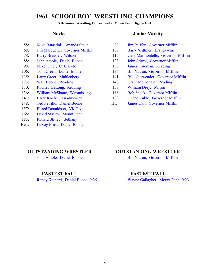### **5 th Annual Wrestling Tournament at Mount Penn High School**

- 
- 68: Jim Marquette, Governor Mifflin 106: Barry Wittmer, Brandywine
- 
- 88: John Amole, Daniel Boone 123: John Stitzel, Governor Mifflin
- 98: Mike Greer, C. E. Cole 130: James Foreman, Reading
- 
- 
- 
- 130: Rodney DeLong, Reading 157: William Drey, Wilson
- 136: William McShane, Wyomissing 168: Bob Shaak, Governor Mifflin
- 
- 
- 157: Elfred Donaldson, YMCA
- 168: David Stailey, Mount Penn
- 183: Ronald Stitley, Bethany
- Hwt: LeRoy Ernst, Daniel Boone

### **Novice Junior Varsity**

- 58: Mike Batastini, Amanda Stout 98: Jim Peiffer, Governor Mifflin
	-
- 78: Harry Bressler, Wilson 115: Gary Marmontello, Governor Mifflin
	-
	-
- 106: Tom Green, Daniel Boone 136: Bill Yatron, Governor Mifflin
- 115: Larry Greer, Muhlenberg 141: Bill Neiswender, Governor Mifflin
- 123: Walt Boone, Reading 148: Grant McDonald, Reading
	-
	-
- 141: Larry Kocher, Bradnywine 183: Duane Ruble, Governor Mifflin
- 148: Ted Petrillo, Daniel Boone Hwt: James Hall, Governor Mifflin

## **OUTSTANDING WRESTLER**

### **FASTEST FALL**

Randy Keinard, Daniel Boone 0:35 Wayne Gallagher, Mount Penn 0:23

### **OUTSTANDING WRESTLER**

John Amole, Daniel Boone Bill Yatron, Governor Mifflin

### **FASTEST FALL**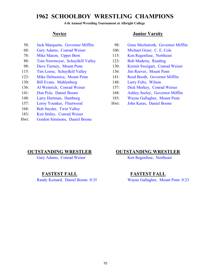### **6 th Annual Wrestling Tournament at Albright College**

- 
- 68: Gary Adams, Conrad Weiser 106: Michael Greer, C. E. Cole
- 78: Mike Mason, Upper Bern 115: Ken Regenfuse, Northeast
- 88: Tom Newmoyer, Schuylkill Valley 123: Bob Maderia, Reading
- 
- 115: Tim Loose, Schuylkill Valley 136: Jim Reever, Mount Penn
- 
- 130: Bill Evans, Muhlenberg 148: Larry Fultz, Wilson
- 
- 
- 
- 157: Leroy Younker, Fleetwood Hwt: John Karas, Daniel Boone
- 168: Bob Snyder, Twin Valley
- 183: Ken Stitley, Conrad Weiser
- Hwt: Gordon Simmons, Daniel Boone

### **Novice Junior Varsity**

- 58: Jack Marquette, Governor Mifflin 98: Gene Mechstroth, Governor Mifflin
	-
	-
	-
- 98: Dave Tierney, Mount Penn 130: Kermit Sweigart, Conrad Weiser
	-
- 123: Mike Delmonica, Mount Penn 141: Reed Booth, Governor Mifflin
	-
- 136: Al Weinrich, Conrad Weiser 157: Dick Merkey, Conrad Weiser
- 141: Don Pyle, Daniel Boone 168: Ashley Seeley, Governor Mifflin
- 148: Larry Hartman, Hamburg 183: Wayne Gallagher, Mount Penn
	-

### **OUTSTANDING WRESTLER**

Gary Adams, Conrad Weiser Ken Regenfuse, Northeast

### **FASTEST FALL**

Randy Keinard, Daniel Boone 0:35 Wayne Gallagher, Mount Penn 0:23

### **OUTSTANDING WRESTLER**

### **FASTEST FALL**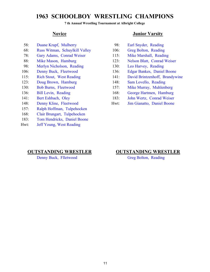**7 th Annual Wrestling Tournament at Albright College**

- 58: Duane Krapf, Mulberry 98: Earl Snyder, Reading
- 68: Russ Witman, Schuylkill Valley 106: Greg Bolton, Reading
- 78: Gary Adams, Conrad Weiser 115: Mike Marshall, Reading
- 
- 98: Merlyn Nicholson, Reading 130: Leo Harvey, Reading
- 
- 
- 123: Doug Brown, Hamburg 148: Sam Lovello, Reading
- 
- 
- 
- 
- 157: Ralph Hoffman, Tulpehocken
- 168: Clair Brungart, Tulpehocken
- 183: Tom Hendricks, Daniel Boone
- Hwt: Jeff Young, West Reading

### **Novice Junior Varsity**

- 
- 
- 
- 88: Mike Mason, Hamburg 123: Nelson Blatt, Conrad Weiser
	-
- 106: Denny Buck, Fleetwood 136: Edgar Bankes, Daniel Boone
- 115: Rich Stout, West Reading 141: David Brintzenhoff, Brandywine
	-
- 130: Bob Burns, Fleetwood 157: Mike Murray, Muhlenberg
- 136: Bill Levin, Reading 168: George Hartmen, Hamburg
- 141: Bert Eshbach, Oley 183: John Wertz, Conrad Weiser
- 148: Denny Kline, Fleetwood Hwt: Jim Gianatto, Daniel Boone

## **OUTSTANDING WRESTLER**

Denny Buck, Flletwood Greg Bolton, Reading

## **OUTSTANDING WRESTLER**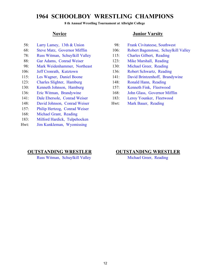### **8 th Annual Wrestling Tournament at Albright College**

- 
- 
- 78: Russ Witman, Schuylkill Valley 115: Charles Gilbert, Reading
- 
- 98: Mark Weidenhammer, Northeast 130: Michael Greer, Reading
- 
- 
- 123: Charles Slighter, Hamburg 148: Ronald Hann, Reading
- 130: Kenneth Johnson, Hamburg 157: Kenneth Fink, Fleetwood
- 
- 141: Dale Ebersole, Conrad Weiser 183: Leroy Younker, Fleetwood
- 148: David Johnson, Conrad Weiser Hwt: Mark Bauer, Reading
- 157: Philip Hertzog, Conrad Weiser
- 168: Michael Grant, Reading
- 183: Milford Hardick, Tulpehocken
- Hwt: Jim Kunkleman, Wyomissing

### **Novice Junior Varsity**

- 58: Larry Lamey, 13th & Union 98: Frank Civitateese, Southwest
- 68: Steve Matz, Governor Mifflin 106: Robert Bagenstose, Schuylkill Valley
	-
- 88: Gar Adams, Conrad Weiser 123: Mike Marshall, Reading
	-
- 106: Jeff Cronrath, Kutztown 136: Robert Schwartz, Reading
- 115: Les Wagner, Daniel Boone 141: David Brintzenhoff, Brandywine
	-
	-
- 136: Eric Witman, Brandywine 168: John Glass, Governor Mifflin
	-
	-

## **OUTSTANDING WRESTLER**

Russ Witman, Schuylkill Valley Michael Greer, Reading

### **OUTSTANDING WRESTLER**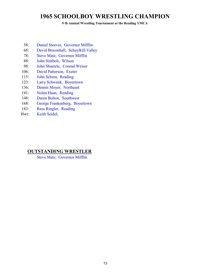**9 th Annual Wrestling Tournament at the Reading YMCA**

- 58: Daniel Steever, Governor Mifflin
- 68: David Broomhall, Schuylkill Valley
- 78: Steve Matz, Governor Mifflin
- 88: John Simboli, Wilson
- 98: John Shaetzle, Conrad Weiser
- 106: David Patterson, Exeter
- 115: John Schera, Reading
- 123: Larry Schwenk, Boyertown
- 136: Dennis Moyer, Northeast
- 141: Nolan Haan, Reading
- 148: Daren Bolton, Southwest
- 168: George Frankenberg, Boyertown
- 183: Russ Ringler, Reading
- Hwt: Keith Seidel,

### **OUTSTANDING WRESTLER**

Steve Matz, Governor Mifflin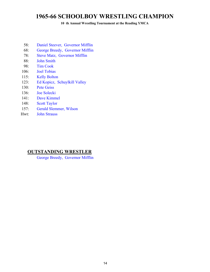**10 th Annual Wrestling Tournament at the Reading YMCA**

- 58: Daniel Steever, Governor Mifflin
- 68: George Breedy, Governor Mifflin
- 78: Steve Matz, Governor Mifflin
- 88: John Smith
- 98: Tim Cook
- 106: Joel Tobias
- 115: Kelly Bolton
- 123: Ed Kopicz, Schuylkill Valley
- 130: Pete Geiss
- 136: Joe Solecki
- 141: Dave Kimmel
- 148: Scott Taylor
- 157: Gerald Slemmer, Wilson
- Hwt: John Strauss

## **OUTSTANDING WRESTLER**

George Breedy, Governor Mifflin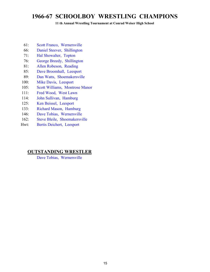**11 th Annual Wrestling Tournament at Conrad Weiser High School**

- 61: Scott Franco, Wernersville
- 66: Daniel Steever, Shillington
- 71: Hal Showalter, Topton
- 76: George Breedy, Shillington
- 81: Allen Robeson, Reading
- 85: Dave Broomhall, Leesport
- 89: Dan Watts, Shoemakersville
- 100: Mike Davis, Leesport
- 105: Scott Williams, Montrose Manor
- 111: Fred Wood, West Lawn
- 114: John Sullivan, Hamburg
- 125: Ken Beissel, Leesport
- 133: Richard Mason, Hamburg
- 146: Dave Tobias, Wernersville
- 162: Steve Bleile, Shoemakersville
- Hwt: Bertis Deichert, Leesport

### **OUTSTANDING WRESTLER**

Dave Tobias, Wernersville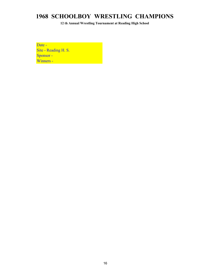**12 th Annual Wrestling Tournament at Reading High School**

Date - Site - Reading H. S. Sponsor - Winners -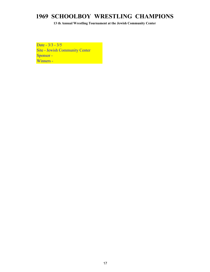**13 th Annual Wrestling Tournament at the Jewish Community Center**

Date - 3/3 - 3/5 Site - Jewish Community Center Sponsor - Winners -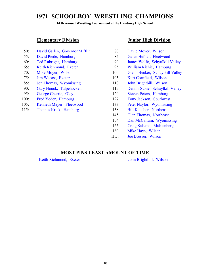**14 th Annual Wrestling Tournament at the Hamburg High School**

### **Elementary Division Junior High Division**

- 50: David Gallen, Governor Mifflin 80: David Moyer, Wilson
- 
- 
- 
- 
- 
- 
- 
- 95: George Cherrie, Oley 120: Steven Peters, Hamburg
- 100: Fred Yoder, Hamburg 127: Tony Jackson, Southwest
- 105: Kenneth Mayer, Fleetwood 133: Peter Naylor, Wyomissing
- 115: Thomas Krick, Hamburg 138: Bill Kaucher, Northeast

- 
- 55: David Piede, Hamburg 85: Galen Hefner, Fleetwood
- 60: Ted Rubright, Hamburg 90: James Wolfe, Schyulkill Valley
- 65: Keith Richmond, Exeter 95: William Richie, Hamburg
- 70: Mike Moyer, Wilson 100: Glenn Becker, Schuylkill Valley
- 75: Jim Weeast, Exeter 105: Kurt Cornfield, Wilson
- 85: Jon Thomas, Wyomissing 110: John Brightbill, Wilson
- 90: Gary Houck, Tulpehocken 115: Dennis Stone, Schuylkill Valley
	-
	-
	-
	-
	- 145: Glen Thomas, Northeast
	- 154: Dan McCallum, Wyomissing
	- 165: Craig Salsano, Muhlenberg
	- 180: Mike Hays, Wilson
	- Hwt: Joe Bresser, Wilson

### **MOST PINS LEAST AMOUNT OF TIME**

Keith Richmond, Exeter

John Brightbill, Wilson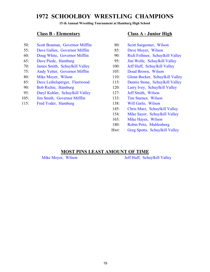**15 th Annual Wrestling Tournament at Hamburg High School**

- 50: Scott Boaman, Governor Mifflin 80: Scott Surgeoner, Wilson
- 55: Dave Gallen, Governor Mifflin 85: Dave Moyer, Wilson
- 
- 
- 70: James Smith, Schuylkill Valley 100: Jeff Huff, Schuylkill Valley
- 75: Andy Yetter, Governor Mifflin 105: Doud Brown, Wilson
- 
- 
- 
- 95: Daryl Kohler, Schuylkill Valley 127: Jeff Smith, Wilson
- 105: Jim Smith, Governor Mifflin 133: Tim Starnes, Wilson
- 115: Fred Yoder, Hamburg 138: Will Garlo, Wilson

### **Class B - Elementary Class A - Junior High**

- 
- 
- 60: Doug White, Governor Mifflin 90: Rich Follmor, Schuylkill Valley
- 65: Dave Piede, Hamburg 95: Jim Wolle, Schuylkill Valley
	-
	-
- 80: Mike Moyer, Wilson 110: Glenn Becker, Schuylkill Valley
- 85: Dave Leibelsperger, Fleetwood 115: Dennis Stone, Schuylkill Valley
- 90: Bob Richie, Hamburg 120: Larry Ivey, Schuylkill Valley
	-
	-
	-
	- 145: Chris Marz, Schuylkill Valley
	- 154: Mike Sayer, Schuylkill Valley
	- 165: Mike Hayes, Wilson
	- 180: Robin Pritz, Muhlenberg
	- Hwt: Greg Spotts, Schuylkill Valley

### **MOST PINS LEAST AMOUNT OF TIME**

Mike Moyer, Wilson Jeff Huff, Schuylkill Valley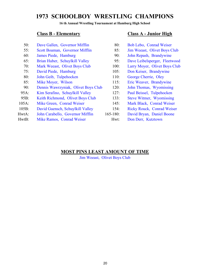**16 th Annual Wrestling Tournament at Hamburg High School**

- 50: Dave Gallen, Governor Mifflin 80: Bob Lebo, Conrad Weiser
- 
- 
- 
- 
- 
- 80: John Geib, Tulpehocken 110: George Cherrie, Oley
- 
- 90: Dennis Wawrzyniak, Olivet Boys Club 120: John Thomas, Wyomissing
- 95A: Kim Serafino, Schuylkill Valley 127: Paul Beissel, Tulpehocken
- 95B: Keith Richmond, Olivet Boys Club 133: Steve Witmer, Wyomissing
- 105A: Mike Green, Conrad Weiser 145: Mark Black, Conrad Weiser
- 105B: David Guensch, Schuylkill Valley 154: Ricky Rouck, Conrad Weiser
- HwtA: John Carabello, Governor Mifflin 165-180: David Bryan, Daniel Boone
- HwtB: Mike Ramos, Conrad Weiser Hwt: Don Derr, Kutztown

## **Class B - Elementary Class A - Junior High**

- 
- 55: Scott Boaman, Governor Mifflin 85: Jim Weeast, Olivet Boys Club
- 60: James Piede, Hamburg 90: John Repash, Brandywine
- 65: Brian Huber, Schuylkill Valley 95: Dave Leibelsperger, Fleetwood
- 70: Mark Weeast, Olivet Boys Club 100: Larry Moyer, Olivet Boys Club
- 75: David Piede, Hamburg 105: Don Keiser, Brandywine
	-
- 85: Mike Moyer, Wilson 115: Eric Weaver, Brandywine
	-
	-
	-
	-
	-
	- -

## **MOST PINS LEAST AMOUNT OF TIME**

Jim Weeast, Olivet Boys Club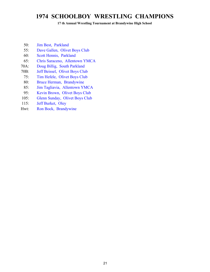**17 th Annual Wrestling Tournament at Brandywine High School**

- 50: Jim Best, Parkland
- 55: Dave Gallen, Olivet Boys Club
- 60: Scott Hennis, Parkland
- 65: Chris Saraceno, Allentown YMCA
- 70A: Doug Billig, South Parkland
- 70B: Jeff Beissel, Olivet Boys Club
- 75: Tim Hefele, Olivet Boys Club
- 80: Bruce Herman, Brandywine
- 85: Jim Tagliavia, Allentown YMCA
- 95: Kevin Brown, Olivet Boys Club
- 105: Glenn Sunday, Olivet Boys Club
- 115: Jeff Burket, Oley
- Hwt: Ron Bock, Brandywine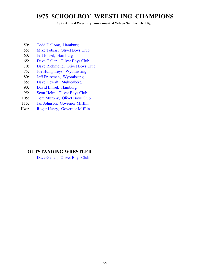**18 th Annual Wrestling Tournament at Wilson Southern Jr. High**

- 50: Todd DeLong, Hamburg
- 55: Mike Tobias, Olivet Boys Club
- 60: Jeff Einsel, Hamburg
- 65: Dave Gallen, Olivet Boys Club
- 70: Dave Richmond, Olivet Boys Club
- 75: Joe Humphreys, Wyomissing
- 80: Jeff Prutzman, Wyomissing
- 85: Dave Dewalt, Muhlenberg
- 90: David Einsel, Hamburg
- 95: Scott Helm, Olivet Boys Club
- 105: Tom Murphy, Olivet Boys Club
- 115: Jan Johnson, Governor Mifflin
- Hwt: Roger Henry, Governor Mifflin

## **OUTSTANDING WRESTLER**

Dave Gallen, Olivet Boys Club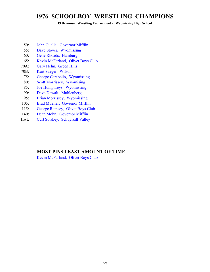**19 th Annual Wrestling Tournament at Wyomissing High School**

- 50: John Gualia, Governor Mifflin
- 55: Dave Stoyer, Wyomissing
- 60: Gene Rhoads, Hamburg
- 65: Kevin McFarland, Olivet Boys Club
- 70A: Gary Helm, Green Hills
- 70B: Kurt Saeger, Wilson
- 75: George Carabello, Wyomissing
- 80: Scott Morrissey, Wyomising
- 85: Joe Humphreys, Wyomissing
- 90: Dave Dewalt, Muhlenberg
- 95: Brian Morrissey, Wyomissing
- 105: Brad Mueller, Governor Mifflin
- 115: George Ramsey, Olivet Boys Club
- 140: Dean Mohn, Governor Mifflin
- Hwt: Curt Solskey, Schuylkill Valley

## **MOST PINS LEAST AMOUNT OF TIME**

Kevin McFarland, Olivet Boys Club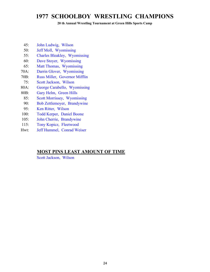**20 th Annual Wrestling Tournament at Green Hills Sports Camp**

- 45: John Ludwig, Wilson
- 50: Jeff Moll, Wyomissing
- 55: Charles Bleakley, Wyomissing
- 60: Dave Stoyer, Wyomissing
- 65: Matt Thomas, Wyomissing
- 70A: Darrin Glover, Wyomissing
- 70B: Russ Miller, Governor Mifflin
- 75: Scott Jackson, Wilson
- 80A: George Carabello, Wyomissing
- 80B: Gary Helm, Green Hills
- 85: Scott Morrissey, Wyomissing
- 90: Bob Zettlemoyer, Brandywine
- 95: Ken Ritter, Wilson
- 100: Todd Kerper, Daniel Boone
- 105: John Cherrie, Brandywine
- 115: Tony Kopicz, Fleetwood
- Hwt: Jeff Hummel, Conrad Weiser

### **MOST PINS LEAST AMOUNT OF TIME**

Scott Jackson, Wilson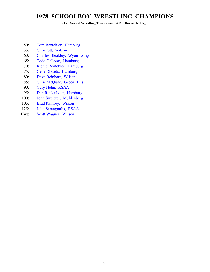**21 st Annual Wrestling Tournament at Northwest Jr. High**

- 50: Tom Rentchler, Hamburg
- 55: Chris Ott, Wilson
- 60: Charles Bleakley, Wyomissing
- 65: Todd DeLong, Hamburg
- 70: Richie Rentchler, Hamburg
- 75: Gene Rhoads, Hamburg
- 80: Dave Reinhart, Wilson
- 85: Chris McQune, Green Hills
- 90: Gary Helm, RSAA
- 95: Dan Reidenhour, Hamburg
- 100: John Sweitzer, Muhlenberg
- 105: Brad Ramsey, Wilson
- 125: John Sarangoulis, RSAA
- Hwt: Scott Wagner, Wilson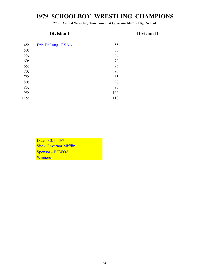**22 nd Annual Wrestling Tournament at Governor Mifflin High School**

## **Division I Division II**

| 45:  | Eric DeLong, RSAA | 55:  |
|------|-------------------|------|
| 50:  |                   | 60:  |
| 55:  |                   | 65:  |
| 60:  |                   | 70:  |
| 65:  |                   | 75:  |
| 70:  |                   | 80:  |
| 75:  |                   | 85:  |
| 80:  |                   | 90:  |
| 85:  |                   | 95:  |
| 95:  |                   | 100: |
| 115: |                   | 110: |

Date -  $\sim$ 3/5 - 3/7 Site - Governor Mifflin Sponsor - BCWOA Winners -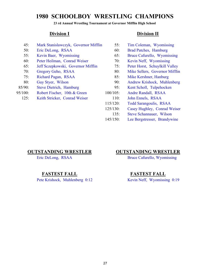**23 rd Annual Wrestling Tournament at Governor Mifflin High School**

- 45: Mark Stanislawczyk, Governor Mifflin 55: Tim Coleman, Wyomissing
- 50: Eric DeLong, RSAA 60: Brad Patches, Hamburg
- 55: Kevin Baer, Wyomissing 65: Bruce Cafurello, Wyomissing
- 60: Peter Heilman, Conrad Weiser 70: Kevin Neff, Wyomissing
- 65: Jeff Sczepkowski, Governor Mifflin 75: Peter Horst, Schuylkill Valley
- 
- 
- 
- 85/90: Steve Dietrich, Hamburg 95: Kent Scholl, Tulpehocken
- 95/100: Robert Fischer, 10th & Green 100/105: Andre Randall, RSAA
	- 125: Keith Stricker, Conrad Weiser 110: John Ennels, RSAA

### **Division I Division II**

- 
- 
- 
- 
- 
- 70: Gregory Geho, RSAA 80: Mike Sellers, Governor Mifflin
- 75: Richard Pagan, RSAA 85: Mike Kershner, Hanburg
- 80: Guy Styer, Wilson 90: Andrew Krishock, Muhlenberg
	-
	-
	-
	- 115/120: Todd Sarangoulis, RSAA
	- 125/130: Casey Hughley, Conrad Weiser
		- 135: Steve Schannauer, Wilson
	- 145/150: Lee Bergstresser, Brandywine

Pete Krishock, Muhlenberg 0:12 Kevin Neff, Wyomissing 0:19

### **OUTSTANDING WRESTLER OUTSTANDING WRESTLER**

Eric DeLong, RSAA Bruce Cafurello, Wyomissing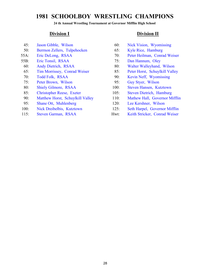**24 th Annual Wrestling Tournament at Governor Mifflin High School**

- 
- 50: Berrnon Zellers, Tulpehocken 65: Kyle Rice, Hamburg
- 
- 55B: Eric Tonsil, RSAA 75: Dan Hannum, Oley
- 
- 65: Tim Morrissey, Conrad Weiser 85: Peter Horst, Schuylkill Valley
- 
- 75: Peter Brown, Wilson 95: Guy Styer, Wilson
- 
- 85: Christopher Reese, Exeter 105: Steven Dietrich, Hamburg
- 90: Matthew Horst, Schuylkill Valley 110: Mathew Hall, Governor Mifflin
- 
- 
- 

- 45: Jason Gibble, Wilson 60: Nick Vision, Wyomissing
	-
- 55A: Eric DeLong, RSAA 70: Peter Heilman, Conrad Weiser
	-
	- 60: Andy Dietrich, RSAA 80: Walter Walleyhand, Wilson
		-
	- 70: Todd Folk, RSAA 90: Kevin Neff, Wyomissing
		-
	- 80: Shiely Gilmore, RSAA 100: Steven Hansen, Kutztown
		-
		-
	- 95: Shane Ott, Muhlenberg 120: Lee Kershner, Wilson
- 100: Nick Dreibelbis, Kutztown 125: Seth Harpel, Governor Mifflin
- 115: Steven Garman, RSAA Hwt: Keith Stricker, Conrad Weiser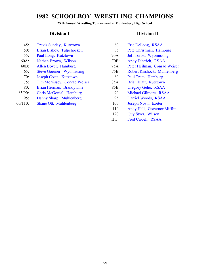### **25 th Annual Wrestling Tournament at Muhlenberg High School**

- 45: Travis Sunday, Kutztown 60: Eric DeLong, RSAA
- 
- 
- 
- 
- 
- 70: Joseph Costa, Kutztown 80: Paul Trate, Hamburg
- 75: Tim Morrissey, Conrad Weiser 85A: Brian Blatt, Kutztown
- 80: Brian Herman, Brandywine 85B: Gregory Geho, RSAA
- 85/90: Chris McGonial, Hamburg 90: Michael Gilmore, RSAA
- 95: Danny Sharp, Muhlenberg 95: Darriel Woods, RSAA
- 100/110: Shane Ott, Muhlenberg 100: Joseph Nosti, Exeter

- 
- 50: Brian Liskey, Tulpehocken 65: Pete Christman, Hamburg
- 55: Paul Long, Kutztown 70A: Jeff Torok, Wyomissing
- 60A: Nathan Brown, Wilson 70B: Andy Dietrich, RSAA
- 60B: Allen Boyer, Hamburg 75A: Peter Heilman, Conrad Weiser
	- 65: Steve Goerner, Wyomissing 75B: Robert Kirshock, Muhlenberg
		-
		-
		- -
		-
		-
		- 110: Andy Hall, Governor Mifflin
		- 120: Guy Styer, Wilson
		- Hwt: Fred Cridell, RSAA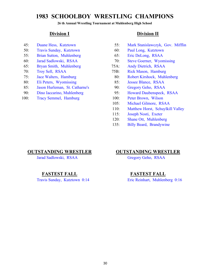**26 th Annual Wrestling Tournament at Muhlenberg High School**

- 
- 50: Travis Sunday, Kutztown 60: Paul Long, Kutztown
- 55: Brian Sutton, Muhlenberg 65: Eric DeLong, RSAA
- 
- 65: Bryan Smith, Muhlenberg 75A: Andy Dietrich, RSAA
- 
- 
- 80: Eli Peters, Wyomissing 85: Jessee Blance, RSAA
- 85: Jason Hurleman, St. Catharne's 90: Gregory Geho, RSAA
- 
- 100: Tracy Semmel, Hamburg 100: Peter Brown, Wilson

### **Division I Division II**

- 45: Duane Hess, Kutztown 55: Mark Stanislawczyk, Gov. Mifflin
	-
	-
- 60: Jarad Sadlowski, RSAA 70: Steve Goerner, Wyomissing
	-
- 70: Troy Sell, RSAA 75B: Rick Mason, Hamburg
- 75: Jace Walters, Hamburg 80: Robert Kirshock, Muhlenberg
	-
	-
- 90: Dino Iaccarino, Muhlenberg 95: Howard Daubenspeck, RSAA
	-
	- 105: Michael Gilmore, RSAA
	- 110: Matthew Horst, Schuylkill Valley
	- 115: Joseph Nosti, Exeter
	- 120: Shane Ott, Muhlenberg
	- 135: Billy Beard, Brandywine

Jarad Sadlowski, RSAA Gregory Geho, RSAA

### **OUTSTANDING WRESTLER OUTSTANDING WRESTLER**

### **FASTEST FALL FASTEST FALL**

Travis Sunday, Kutztown 0:14 Eric Reinhart, Muhlenberg 0:16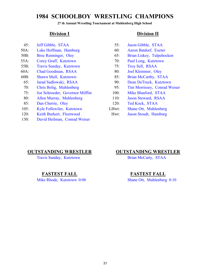**27 th Annual Wrestling Tournament at Muhlenberg High School**

- 
- 50A: Luke Hoffman, Hamburg 60: Aaron Batdorf, Exeter
- 
- 55A: Corey Graff, Kutztown 70: Paul Long, Kutztown
- 55B: Travis Sunday, Kutztown 75: Troy Sell, RSAA
- 60A: Chad Goodman, RSAA 80: Joel Klemmer, Oley
- 
- 
- 
- 75: Joe Schroeder, Governor Mifflin 100: Mike Blanford, STAA
- 80: Allen Murray, Muhlenberg 110: Jason Steward, RSAA
- 85: Dan Cherrie, Oley 120: Ted Kock, STAA
- 105: Kyle Follewiler, Kutztown LHwt: Shane Ott, Muhlenberg
- 120: Keith Burkert, Fleetwood Hwt: Jason Stoudt, Hamburg
- 130: David Heilman, Conrad Weiser

### **Division I Division II**

- 45: Jeff Gibble, STAA 55: Jason Gibble, STAA
	-
- 50B: Broc Renninger, Oley 65: Brian Liskey, Tulpehocken
	-
	-
	-
- 60B: Shawn Mull, Kutztown 85: Brian McCarthy, STAA
	- 65: Jarad Sadlowski, RSAA 90: Dean DeTruck, Kutztown
	- 70: Chris Bolig, Muhlenberg 95: Tim Morrissey, Conrad Weiser
		-
		-
		-
		-
		-

Travis Sunday, Kutztown Brian McCarty, STAA

Mike Rhode, Kutztown 0:08 Shane Ott, Muhlenberg 0:10

### **OUTSTANDING WRESTLER OUTSTANDING WRESTLER**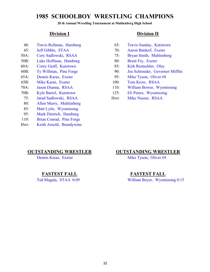**28 th Annual Wrestling Tournament at Muhlenberg High School**

- 40: Travis Rollman, Hamburg 65: Travis Sunday, Kutztown
- 
- 
- 50B: Luke Hoffman, Hamburg 80: Brent Fry, Exeter
- 60A: Corey Graff, Kutztown 85: Kirk Rentschler, Oley
- 
- 65A: Dennis Karas, Exeter 95: Mike Tyson, Olivet #4
- 65B: Mike Karas, Exeter 100: Tom Krow, RSAA
- 
- 
- 
- 80: Allen Murry, Muhlenberg
- 85: Matt Lytle, Wyomissing
- 95: Mark Dietrich, Hamburg
- 110: Brian Conrad, Pine Forge
- Hwt: Keith Arnold, Brandywine

### **Division I Division II**

- 
- 45: Jeff Gibble, STAA 70: Aaron Batdorf, Exeter
- 50A: Cory Sadlowski, RSAA 75: Bryan Smith, Muhlenberg
	-
	-
- 60B: Ty Willman, Pine Forge 90: Joe Schroeder, Governor Mifflin
	-
	-
- 70A: Jason Dianna, RSAA 110: William Bower, Wyomissing
- 70B: Kyle Barrel, Kutztown 125: Eli Peters, Wyomissing
	- 75: Jarad Sadlowski, RSAA Hwt: Mike Nusser, RSAA

### **OUTSTANDING WRESTLER OUTSTANDING WRESTLER**

Dennis Karas, Exeter Mike Tyson, Olivet #4

### **FASTEST FALL FASTEST FALL**

Ted Magala, STAA 0:09 William Boyer, Wyomissing 0:15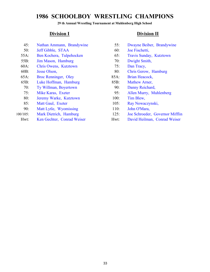### **29 th Annual Wrestling Tournament at Muhlenberg High School**

- 
- 50: Jeff Gibble, STAA 60: Joe Fischetti,
- 55A: Ben Kochera, Tulpehocken 65: Travis Sunday, Kutztown
- 55B: Jim Mason, Hamburg 70: Dwight Smith,
- 60A: Chris Owens, Kutztown 75: Dan Tracy,
- 
- 65A: Broc Renninger, Oley 85A: Brian Heacock,
- 65B: Luke Hoffman, Hamburg 85B: Mathew Arner,
- 70: Ty Willman, Boyertown 90: Danny Reichard,
- 
- 80: Jeremy Warke, Kutztown 100: Tim Blew,
- 85: Matt Gaul, Exeter 105: Ray Nowaczynski,
- 90: Matt Lytle, Wyomissing 110: John O'Mara,
- 
- 

- 45: Nathan Ammann, Brandywine 55: Dwayne Beiber, Brandywine
	-
	-
	-
	-
- 60B: Jesse Olson, 80: Chris Gerow, Hamburg
	-
	-
	-
	- 75: Mike Karas, Exeter 95: Allen Murry, Muhlenberg
		-
		-
		-
- 100/105: Mark Dietrich, Hamburg 125: Joe Schroeder, Governor Mifflin
	- Hwt: Ken Gechter, Conrad Weiser Hwt: David Heilman, Conrad Weiser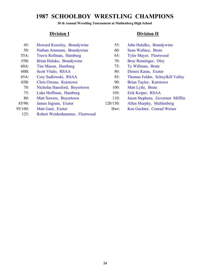### **30 th Annual Wrestling Tournament at Muhlenberg High School**

- 
- 50: Nathan Ammann, Brandywine 60: Sean Wallace, Brute
- 
- 
- 60A: Tim Mason, Hamburg 75: Ty Willman, Brute
- 
- 
- 65B: Chris Owens, Kutztown 90: Brian Taylor, Kutztown
- 70: Nicholas Hansford, Boyertown 100: Matt Lytle, Brute
- 75: Luke Hoffman, Hamburg 105: Erik Keiper, RSAA
- 
- 
- - 125: Robert Weidenhammer, Fleetwood

- 45: Howard Kressley, Brandywine 55: John Halulko, Brandywine
	-
- 55A: Travis Rollman, Hamburg 65: Tyler Mayer, Fleetwood
- 55B: Brian Haluko, Brandywine 70: Broc Renninger, Oley
	-
- 60B: Scott Vitalo, RSAA 80: Dennis Karas, Exeter
- 65A: Cory Sadlowski, RSAA 85: Thomas Felder, Schuylkill Valley
	-
	-
	-
	- 80: Matt Sowers, Boyertown 110: Jason Stephens, Governor Mifflin
- 85/90: James Ingram, Exeter 120/130: Allen Murphy, Muhlenberg
- 95/100: Matt Gaul, Exeter Hwt: Ken Gechter, Conrad Weiser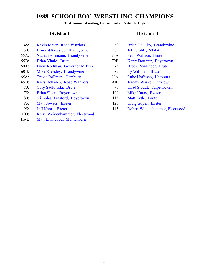### **31 st Annual Wrestling Tournament at Exeter Jr. High**

- 
- 50: Howard Kressley, Brandywine 65: Jeff Gibble, STAA
- 55A: Nathan Ammann, Brandywine 70A: Sean Wallace, Brute
- 
- 60A: Drew Rollman, Governor Mifflin 75: Brock Renninger, Brute
- 60B: Mike Kressley, Brandywine 85: Ty Willman, Brute
- 65A: Travis Rollman, Hamburg 90A: Luke Hoffman, Hamburg
- 65B: Kriss Bellanca, Road Warriors 90B: Jeremy Warke, Kutztown
- 
- 75: Brian Sloan, Boyertown 100: Mike Karas, Exeter
- 80: Nicholas Hansford, Boyertown 115: Matt Lytle, Brute
- 
- 
- 100: Kerry Weidenhammer, Fleetwood
- Hwt: Matt Livingood, Muhlenberg

- 45: Kevin Maier, Road Warriors 60: Brian Halulko, Brandywine
	-
	-
- 55B: Brian Vitalo, Brute 70B: Kerry Dotterer, Boyertown
	-
	-
	-
	-
	- 70: Cory Sadlowski, Brute 95: Chad Stoudt, Tulpehocken
		-
		-
	- 85: Matt Sowers, Exeter 120: Craig Boyer, Exeter
	- 95: Jeff Karas, Exeter 145: Robert Weidenhammer, Fleetwood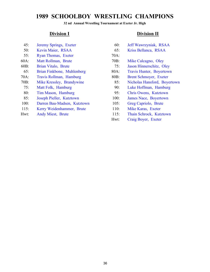**32 nd Annual Wrestling Tournament at Exeter Jr. High**

| 45: | Jeremy Springs, Exeter |  |  |
|-----|------------------------|--|--|
|     |                        |  |  |

- 
- 55: Ryan Thomas, Exeter 70A:
- 
- 
- 
- 
- 
- 
- 
- 
- 100: Darren Bau-Madsen, Kutztown 105: Greg Capriolo, Brute
- 115: Kerry Weidenhammer, Brute 110: Mike Karas, Exeter
- 

## **Division I Division II**

60: Jeff Wawrzyniak, RSAA 50: Kevin Maier, RSAA 65: Kriss Bellanca, RSAA 60A: Matt Rollman, Brute 70B: Mike Calcagno, Oley 60B: Brian Vitalo, Brute 75: Jason Hinnerschitz, Oley 65: Brian Finkbone, Muhlenberg 80A: Travis Hunter, Boyertown 70A: Travis Rollman, Hamburg 80B: Brent Schmoyer, Exeter 70B: Mike Kressley, Brandywine 85: Nicholas Hansford, Boyertown 75: Matt Folk, Hamburg 90: Luke Hoffman, Hamburg 80: Tim Mason, Hamburg 95: Chris Owens, Kutztown 85: Joseph Pieller, Kutztown 100: James Nace, Boyertown Hwt: Andy Miest, Brute 115: Thain Schrock, Kutztown Hwt: Craig Boyer, Exeter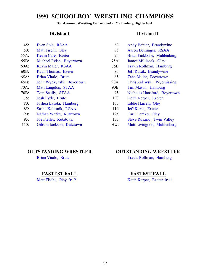**33 rd Annual Wrestling Tournament at Muhlenberg High School**

- 
- 
- 
- 55B: Michael Reish, Boyertown 75A: James Millisock, Oley
- 
- 
- 
- 65B: John Wydzynski, Boyertown 90A: Chris Zalewski, Wyomissing
- 70A: Matt Langdon, STAA 90B: Tim Mason, Hamburg
- 
- 
- 80: Joshua Lasota, Hamburg 105: Eddie Harrell, Oley
- 85: Sasha Kolesnik, RSAA 110: Jeff Karas, Exeter
- 90: Nathan Warke, Kutztown 125: Carl Clemko, Oley
- 
- 

### **Division I Division II**

- 45: Even Sola, RSAA 60: Andy Beitler, Brandywine
- 50: Matt Fischl, Oley 65: Aaron Deininger, RSAA
- 55A: Kevin Care, Exeter 70: Brian Finkbone, Muhlenberg
	-
- 60A: Kevin Maier, RSAA 75B: Travis Rollman, Hamburg
- 60B: Ryan Thomas, Exeter 80: Jeff Rusak, Brandywine
- 65A: Brian Vitalo, Brute 85: Zach Miller, Boyertown
	-
	-
- 70B: Tom Scully, STAA 95: Nicholas Hansford, Boyertown
	- 75: Josh Lytle, Brute 100: Keith Kerper, Exeter
		-
		-
		-
	- 95: Joe Pieller, Kutztown 135: Steve Rosario, Twin Valley
- 110: Gibson Jackson, Kutztown Hwt: Matt Livingood, Muhlenberg

### **OUTSTANDING WRESTLER OUTSTANDING WRESTLER**

Brian Vitalo, Brute Travis Rollman, Hamburg

### **FASTEST FALL FASTEST FALL**

Matt Fischl, Oley 0:12 Keith Kerper, Exeter 0:11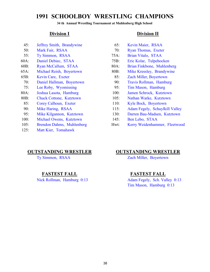**34 th Annual Wrestling Tournament at Muhlenberg High School**

- 45: Jeffrey Smith, Brandywine 65: Kevin Maier, RSAA
- 
- 55: Ty Simmon, RSAA 75A: Brian Vitalo, STAA
- 
- 
- 
- 
- 70: Daniel Hallman, Boyertown 90: Travis Rollman, Hamburg
- 
- 80A: Joshua Lasota, Hamburg 100: Jamen Schrock, Kutztown
- 80B: Chuck Cottone, Kutztown 105: Nathan Warke, Kutztown
- 85: Corey Calhoun, Exeter 110: Kyle Bock, Boyertown
- 
- 
- 100: Michael Owens, Kutztown 145: Ben Lebo, STAA
- 
- 125: Matt Kier, Tomahawk

### **Division I Division II**

- 
- 50: Mark Fair, RSAA 70: Ryan Thomas, Exeter
	-
- 60A: Daniel Debiec, STAA 75B: Eric Kolar, Tulpehocken
- 60B: Ryan McCallum, STAA 80A: Brian Finkbone, Muhlenberg
- 65A: Michael Reish, Boyertown 80B: Mike Kressley, Brandywine
- 65B: Kevin Care, Exeter 85: Zach Miller, Boyertown
	-
	- 75: Lee Roby, Wyomissing 95: Tim Mason, Hamburg
		-
		-
		-
	- 90: Mike Haring, RSAA 115: Adam Fegely, Schuylkill Valley
	- 95: Mike Kilgannon, Kutztown 130: Darren Bau-Madsen, Kutztown
		-
- 105: Brendon Dahms, Muhlenberg Hwt: Kerry Weidenhammer, Fleetwood

### **OUTSTANDING WRESTLER OUTSTANDING WRESTLER**

Ty Simmon, RSAA Zach Miller, Boyertown

### **FASTEST FALL FASTEST FALL**

Nick Rollman, Hamburg 0:13 Adam Fegely, Sch. Valley 0:13 Tim Mason, Hamburg 0:13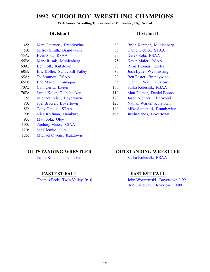**35 th Annual Wrestling Tournament at Muhlenberg High School**

- 
- 
- 
- 55B: Mark Rusak, Muhlenberg 75: Kevin Maier, RSAA
- 
- 60B: Eric Koller, Schuylkill Valley 85: Josh Lytle, Wyomissing
- 
- 
- 
- 
- 
- 
- 
- 
- 95: Matt Sola, Oley
- 100: Zachary Maier, RSAA
- 120: Joe Clemko, Oley
- 125: Michael Owens, Kutztown

Jamie Kolar, Tulpehocken Sasha Kolesnik, RSAA

### **Division I Division II**

- 45: Matt Geurrieri, Brandywine 60: Brian Kantner, Muhlenberg
- 50: Jeffrey Smith, Brandywine 65: Daniel Debiec, STAA
- 55A: Even Sola, RSAA 70: Derek Sola, RSAA
	-
- 60A: Ben Folk, Kutztown 80: Ryan Thomas, Exeter
	-
- 65A: Ty Simmon, RSAA 90: Ben Foster, Brandywine
- 65B: Eric Marten, Tamaqau 95: Glenn O'Neill, Kutztown
- 70A: Cain Cerra, Exeter 100: Sasha Kolesnik, RSAA
- 70B: Jamie Kolar, Tulpehocken 110: Matt Palmer, Daniel Boone
	- 75: Michael Reish, Boyertown 120: Jason Nichols, Fleetwood
	- 80: Joel Brower, Boyertown 125: Nathan Warke, Kutztown
	- 85: Tony Cipolla, STAA 140: Mike Santarelli, Brandywine
	- 90: Nick Rollman, Hamburg Hwt: Justin Sands, Boyertown

### **OUTSTANDING WRESTLER OUTSTANDING WRESTLER**

### **FASTEST FALL FASTEST FALL**

Thomas Peck, Twin Valley 0:10 John Wyunzmski, Boyertown 0:09 Bob Galloway, Boyertown 0:09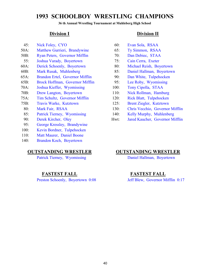**36 th Annual Wrestling Tournament at Muhleberg High School**

- 45: Nick Foley, CYO 60: Evan Sola, RSAA
- 50A: Matthew Gurrieri, Brandywine 65: Ty Simmon, RSAA
- 50B: Ryan Peters, Governor Mifflin 70: Dan Debiec, STAA
- 55: Joshua Varady, Boyertown 75: Cain Cerra, Exeter
- 60A: Derick Schoenly, Boyertown 80: Michael Reish, Boyertown
- 60B: Mark Rusak, Muhlenberg 85: Daniel Hallman, Boyertown
- 65A: Brandon Ertel, Governor Mifflin 90: Dan White, Tulpehocken
- 65B: Brock Hoffman, Governor Mifflin 95: Lee Roby, Wyomissing
- 70A: Joshua Kieffer, Wyomissing 100: Tony Cipolla, STAA
- 70B: Drew Langton, Boyertown 110: Nick Rollman, Hamburg
- 75A: Tim Schultz, Governor Mifflin 120: Rick Blatt, Tulpehocken
- 75B: Travis Warke, Kutztown 125: Brent Ziegler, Kutztown
- 
- 
- 
- 95: George Kressley, Brandywine
- 100: Kevin Bordner, Tulpehocken
- 110: Matt Maurer, Daniel Boone
- 140: Brandon Koch, Boyertown

Patrick Tierney, Wyomissing Daniel Hallman, Boyertown

Preston Schoenly, Boyertown 0:08 Jeff Blew, Governor Mifflin 0:17

### **Division I Division II**

- 
- 
- 
- 
- 
- 
- 
- 
- 
- 
- 
- 
- 80: Mark Fair, RSAA 130: Chris Vecchio, Governor Mifflin
- 85: Patrick Tierney, Wyomissing 140: Kelly Murphy, Muhlenberg
- 90: Derek Kircher, Oley Hwt: Jared Kaucher, Governor Mifflin

## **OUTSTANDING WRESTLER OUTSTANDING WRESTLER**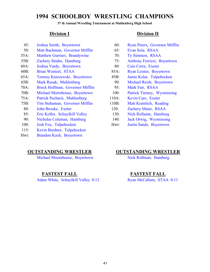**37 th Annual Wrestling Tournament at Muhlenberg High School**

- 
- 50: Matt Bachman, Governor Mifflin 65: Evan Sola, RSAA
- 55A: Matthew Gurrieri, Brandywine 70: Ty Simmon, RSAA
- 
- 60A: Joshua Vardy, Boyertown 80: Cain Cerra, Exeter
- 
- 65A: Tommy Kniezewski, Boyertown 85B: Jamie Kolar, Tulpehocken
- 65B: Mark Rusak, Muhlenberg 90: Michael Reish, Boyertown
- 70A: Brock Hoffman, Governor Mifflin 95: Mark Fair, RSAA
- 70B: Michael Morrehouse, Boyertown 100: Patrick Tierney, Wyomissing
- 75A: Patrick Pacharis, Muhlenberg 110A: Kevin Care, Exeter
- 75B: Tim Stehaman, Governor Mifflin 110B: Matt Kramlich, Reading
- 
- 
- 
- 
- 115: Kevin Bordner, Tulpehocken
- Hwt: Brandon Koch, Boyertown

## 80: John Brooke, Exeter 120: Zachery Maier, RSAA

- 85: Eric Koller, Schuylkill Valley 130: Nick Rollamn, Hamburg
- 90: Nicholas Coleman, Hamburg 140: Jack Orwig, Wyomissing
- 100: Josh Fox, Tulpehocken Hwt: Justin Sands, Boyertown

Michael Moorehouse, Boyertown Nick Rollman, Hamburg

Adam White, Schuylkill Valley 0:12 Ryan McCallum, STAA 0:11

### **OUTSTANDING WRESTLER OUTSTANDING WRESTLER**

### **FASTEST FALL FASTEST FALL**

- 45: Joshua Smith, Boyertown 60: Ryan Peters, Governor Mifflin
	-
	-
- 55B: Zachery Strahn, Hamburg 75: Anthony Ferrizzi, Boyertown
	-
- 60B: Brian Wentzel, STAA 85A: Ryan Leister, Boyertown
	-
	-
	-
	-
	-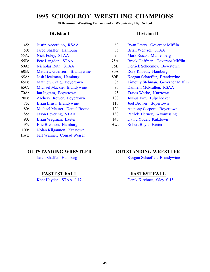**38 th Annual Wrestling Tournament at Wyomissing High School**

- 
- 
- 
- 
- 
- 
- 
- 
- 65C: Michael Mackie, Brandywine 90: Damiem McMullen, RSAA
- 
- 70B: Zachery Brower, Boyertown 100: Joshua Fox, Tulpehocken
- 75: Brian Ernst, Brandywine 110: Joel Brower, Boyertown
- 80: Michael Maurer, Daniel Boone 120: Anthony Corpora, Boyertown
- 
- 
- 95: Eric Brennon, Hamburg Hwt: Robert Boyd, Exeter
- 100: Nolan Kilgannon, Kutztown
- Hwt: Jeff Wanner, Conrad Weiser

### **Division I Division II**

- 45: Justin Accordino, RSAA 60: Ryan Peters, Governor Mifflin
- 50: Jared Shaffer, Hamburg 65: Brian Wentzel, STAA
- 55A: Nick Foley, STAA 70: Mark Rusak, Muhlenberg
- 55B: Pete Langdon, STAA 75A: Brock Hoffman, Governor Mifflin
- 60A: Nicholas Ruth, STAA 75B: Derrick Schoenley, Boyertown
- 60B: Matthew Guerrieri, Brandywine 80A: Rory Rhoads, Hamburg
- 65A: Josh Heckman, Hamburg 80B: Keegan Schaeffer, Brandywine
- 65B: Matthew Craig, Boyertown 85: Timothy Stehman, Governor Mifflin
	-
- 70A: Ian Ingram, Boyertown 95: Travis Warke, Kutztown
	-
	-
	-
	- 85: Jason Levering, STAA 130: Patrick Tierney, Wyomissing
	- 90: Brian Wegman, Exeter 140: David Yoder, Kutztown
		-

### **OUTSTANDING WRESTLER OUTSTANDING WRESTLER**

Jared Shaffer, Hamburg Keegan Schaeffer, Brandywine

### **FASTEST FALL FASTEST FALL**

Kent Hayden, STAA 0:12 Derek Kirchner, Oley 0:15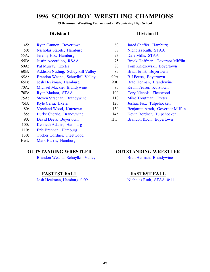**39 th Annual Wrestling Tournament at Wyomissing High School**

- 45: Ryan Cannon, Boyertown 60: Jared Shaffer, Hamburg
- 50: Nicholas Stabile, Hamburg 68: Nicholas Ruth, STAA
- 55A: Jeremy Hix, Hamburg 73: Dale Mills, STAA
- 
- 
- 60B: Addison Nuding, Schuylkill Valley 85: Brian Ernst, Boyertown
- 65A: Brandon Weand, Schuylkill Valley 90A: B J Fouse, Boyertown
- 65B: Josh Heckman, Hamburg 90B: Brad Herman, Brandywine
- 70A: Michael Mackie, Brandywine 95: Kevin Feaser, Kutztown
- 
- 75A: Steven Strachan, Brandywine 110: Mike Troutman, Exeter
- 
- 
- 
- 
- 100: Kenneth Adams, Hamburg
- 110: Eric Brennan, Hamburg
- 130: Tucker Gordner, Fleetwood
- Hwt: Mark Harris, Hamburg

Brandon Weand, Schuylkill Valley Brad Herman, Brandywine

Josh Heckman, Hamburg 0:09 Nicholas Ruth, STAA 0:11

### **Division I Division II**

- 
- 
- 
- 55B: Justin Accordino, RSAA 75: Brock Hoffman, Governor Mifflin
- 60A: Pat Murray, Exeter 80: Tom Kniezewski, Boyertown
	-
	-
	-
	-
- 70B: Ryan Madara, STAA 100: Cory Nichols, Fleetwood
	-
- 75B: Kyle Cerra, Exeter 120: Joshua Fox, Tulpehocken
	- 80: Vreeland Wood, Kutztown 130: Benjamin Arndt, Governor Mifflin
	- 85: Burke Cherrie, Brandywine 145: Kevin Bordner, Tulpehocken
	- 90: David Deets, Boyertown Hwt: Brandon Koch, Boyertown

### **OUTSTANDING WRESTLER OUTSTANDING WRESTLER**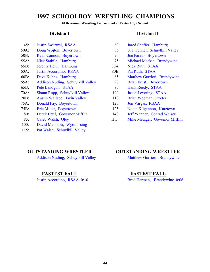**40 th Annual Wrestling Tournament at Exeter High School**

- 
- 
- 50B: Ryan Cannon, Boyertown 70: Joe Parato, Boyertown
- 
- 55B: Jeremy Henn, Hamburg 80A: Nick Ruth, STAA
- 60A: Justin Accordino, RSAA 80B: Pat Ruth, STAA
- 
- 65A: Addison Nuding, Schuylkill Valley 90: Brian Ernst, Boyertown
- 65B: Pete Landgon, STAA 95: Hank Reedy, STAA
- 70A: Shaun Rupp, Schuylkill Valley 100: Jason Levering, STAA
- 70B: Austin Wallace, Twin Valley 110: Brian Wegman, Exeter
- 75A: Donald Fay, Boyertown 120: Jon Vargas, RSAA
- 
- 
- 
- 100: David Mendoza, Wyomissing
- 115: Pat Walsh, Schuylkill Valley

### **Division I Division II**

- 45: Justin Swartzel, RSAA 60: Jared Shaffer, Hamburg
- 50A: Doug Wojton, Boyertown 65: S. J. Fehnel, Schuylkill Valley
	-
- 55A: Nick Stabile, Hamburg 75: Michael Mackie, Brandywine
	-
	-
- 60B: Dave Kuhns, Hamburg 85: Matthew Gurrieri, Brandywine
	-
	-
	-
	-
	-
- 75B: Eric Miller, Boyertown 125: Nolan Kilgannon, Kutztown
	- 80: Derek Ertel, Governor Mifflin 140: Jeff Wanner, Conrad Weiser
	- 85: Caleb Walsh, Oley Hwt: Mike Metzger, Governor Mifflin

Addison Nuding, Schuylkill Valley Matthew Gurrieri, Brandywine

### **OUTSTANDING WRESTLER OUTSTANDING WRESTLER**

### **FASTEST FALL FASTEST FALL**

Justin Accordino, RSAA 0:10 Brad Herman, Brandywine 0:06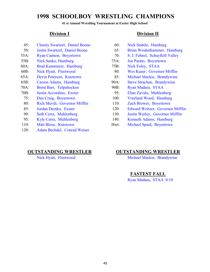### **41 st Annual Wrestling Tournament at Exeter High School**

- 45: Chasity Swartzel, Daniel Boone 60: Nick Stabile, Hamburg
- 
- 
- 
- 60A: Brad Kummerer, Hamburg 75B: Nick Foley, STAA
- 
- 
- 
- 70A: Brent Barr, Tulpehocken 90B: Ryan Madara, STAA
- 
- 
- 80: Rich Muvdi, Governor Mifflin 110: Zach Brower, Boyertown
- 
- 
- 
- 
- 120: Adam Bechdel, Conrad Weiser

## **Division I Division II**

- 
- 50: Justin Swartzel, Daniel Boone 65: Brian Weidenhammer, Hamburg
- 55A: Ryan Cannon, Boyertown 70: S. J. Fehnel, Schuylkill Valley
- 55B: Nick Sanko, Hamburg 75A: Joe Parato, Boyertown
	-
- 60B: Nick Hyatt, Fleetwood 80: Wes Kuser, Governor Mifflin
- 65A: Devin Peterson, Kutztown 85: Michael Mackie, Brandywine
- 65B: Carson Adams, Hamburg 90A: Steve Strachan, Brandywine
	-
- 70B: Justin Accordino, Exeter 95: Elias Zavala, Muhlenberg
	- 75: Dan Craig, Boyertown 100: Vreeland Wood, Hamburg
		-
	- 85: Jordan Demko, Exeter 120: Edward Weitzer, Governor Mifflin
	- 90: Seth Cerra, Muhlenberg 130: Justin Werley, Governor Mifflin
	- 95: Kyle Cerra, Muhlenberg 140: Kenneth Adams, Hamburg
- 110: Matt Blose, Kutztown Hwt: Michael Spaid, Boyertown

### **OUTSTANDING WRESTLER OUTSTANDING WRESTLER**

Nick Hyatt, Fleetwood Michael Mackie, Brandywine

### **FASTEST FALL**

Ryan Madara, STAA 0:10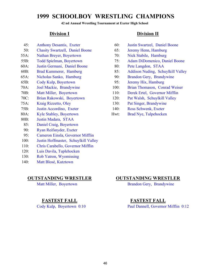### **42 nd Annual Wrestling Tournament at Exeter High School**

- 
- 50: Chasity Swartzell, Daniel Boone 65: Jeremy Henn, Hamburg
- 55A: Nathan Breyer, Boyertown 70: Nick Stabile, Hamburg
- 
- 60A: Justin Germani, Daniel Boone 80: Pete Langdon, STAA
- 
- 
- 
- 
- 
- 
- 
- 
- 
- 80B: Justin Madara, STAA
	- 85: Daniel Craig, Boyertown
	- 90: Ryan Reifsnyder, Exeter
- 95: Cameron Einsla, Governor Mifflin
- 100: Justin Hoffmaster, Schuylkill Valley
- 110: Chris Carabello, Governor Mifflin
- 120: Luis Davila, Tuplehocken
- 130: Rob Yatron, Wyomissing
- 140: Matt Blosé, Kutztown

### **Division I Division II**

- 45: Anthony Desantis, Exeter 60: Justin Swartzel, Daniel Boone
	-
	-
- 55B: Todd Spielman, Boyertown 75: Adam DiDomenico, Daniel Boone
	-
- 60B: Brad Kummerer, Hamberg 85: Addison Nuding, Schuylkill Valley
- 65A: Nicholas Sanko, Hamburg 90: Brandon Gery, Brandywine
- 65B: Cody Kulp, Boyertown 95: Jeremy Hix, Hamburg
- 70A: Joel Mackie, Brandywine 100: Brian Thomason, Conrad Weiser
- 70B: Matt Miller, Boyertown 110: Derek Ertel, Governor Mifflin
- 70C: Brian Rakowski, Boyertown 120: Pat Walsh, Schuylkill Valley
- 75A: Kraig Rizzetto, Oley 130: Pat Singer, Brandywine
- 75B: Justin Accordino, Exeter 140: Ross Schwenk, Exeter
- 80A: Kyle Stabley, Boyertown Hwt: Brad Nye, Tulpehocken

### **OUTSTANDING WRESTLER OUTSTANDING WRESTLER**

Matt Miller, Boyertown Brandon Gery, Brandywine

## **FASTEST FALL FASTEST FALL**

Cody Kulp, Boyertown 0:10 Paul Dannell, Governor Mifflin 0:12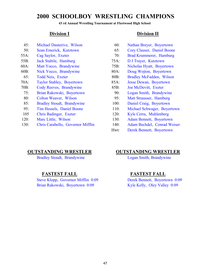**43 rd Annual Wrestling Tournament at Fleetwood High School**

- 
- 
- 
- 
- 
- 
- 
- 70A: Taylor Stabley, Boyertown 85A: Jesse Dewan, Boyertown
- 70B: Cody Reeves, Brandywine 85B: Joe McDevitt, Exeter
- 75: Brian Rakowski, Boyertown 90: Logan Smith, Brandywine
- 80: Colton Weaver, Wilson 95: Matt Strausser, Hamburg
- 85: Bradley Stoudt, Brandywine 100: Daniel Craig, Boyertown
- 
- 
- 
- 130: Chris Carabello, Governor Mifflin 140: Adam Bechdel, Conrad Weiser

### **Division I Division II**

- 45: Michael Dauterive, Wilson 60: Nathan Breyer, Boyertown
- 50: Sean Emerick, Kutztown 65: Cory Clauser, Daniel Boone
- 55A: Cag Saylor, Exeter 70: Brad Krummerer, Hamburg
- 55B: Jack Stabile, Hamburg 75A: D J Trayer, Kutztown
- 60A: Matt Yocco, Brandywine 75B: Nicholas Hyatt, Boyertown
- 60B: Nick Yocco, Brandywine 80A: Doug Wojton, Boyertown
	- 65: Todd Neis, Exeter 80B: Bradley McFadden, Wilson
		-
		- -
		-
		-
	- 95: Tim Hessels, Daniel Boone 110: Michael Schwager, Boyertown
- 105 Chris Badinger, Exeter 120: Kyle Cerra, Muhlenberg
- 120: Marc Little, Wilson 130: Adam Bennett, Boyertown
	-
	- Hwt: Derek Bennett, Boyertown

Bradley Stoudt, Brandywine Logan Smith, Brandywine

Steve Klopp, Governor Mifflin 0:09 Derek Bennett, Boyertown 0:09 Brian Rakowski, Boyertown 0:09 Kyle Kelly, Oley Valley 0:09

### **OUTSTANDING WRESTLER OUTSTANDING WRESTLER**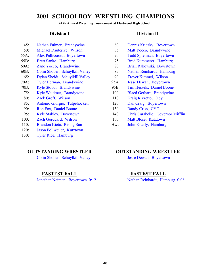**44 th Annual Wrestling Tournament at Fleetwood High School**

- 
- 50: Michael Dauterive, Wilson 65: Matt Yocco, Brandywine
- 
- 
- 
- 
- 65: Dylan Sheidt, Schuylkill Valley 90: Trever Kimmel, Wilson
- 70A: Tyler Herman, Brandywine 95A: Jesse Dewan, Boyertown
- 
- 75: Kyle Weidmer, Brandywine 100: Blaed Gerhart, Brandywine
- 
- 85: Antonio Giorgio, Tulpehocken 120: Dan Craig, Boyertown
- 90: Ron Fox, Daniel Boone 130: Randy Criss, CYO
- 
- 
- 110: Brandon Kieta, Rising Sun Hwt: John Esterly, Hamburg
- 120: Jason Follweiler, Kutztown
- 130: Tyler Rice, Hamburg

Colin Shober, Schuylkill Valley Jesse Dewan, Boyertown

Jonathan Neiman, Boyertown 0:12 Nathan Reinhardt, Hamburg 0:08

### **Division I Division II**

- 45: Nathan Fulmer, Brandywine 60: Dennis Kriczky, Boyertown
	-
- 55A: Alex Pellicciotti, Boyertown 70: Todd Spielman, Boyertown
- 55B: Brett Sanko, Hamburg 75: Brad Kummerer, Hamburg
- 60A: Zane Yocco, Brandywine 80: Brian Rakowski, Boyertown
- 60B: Colin Shober, Schuylkill Valley 85: Nathan Reinhardt, Hamburg
	-
	-
- 70B: Kyle Stoudt, Brandywine 95B: Tim Hessels, Daniel Boone
	-
	- 80: Zack Groff, Wilson 110: Kraig Rizzetto, Oley
		-
		-
	- 95: Kyle Stabley, Boyertown 140: Chris Carabello, Governor Mifflin
- 100: Zach Gorddard, Wilson 160: Matt Blose, Kutztown
	-

### **OUTSTANDING WRESTLER OUTSTANDING WRESTLER**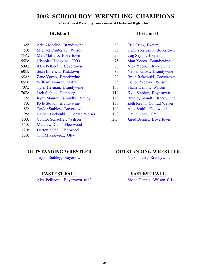**45 th Annual Wrestling Tournament at Fleetwood High School**

- 45: Adam Mackie, Brandywine 60: Eric Crim, Exeter
- 
- 55A: Matt Malfaro, Boyertown 70: Cag Saylor, Exeter
- 
- 
- 
- 
- 65B: William Mourar, Matrix 95: Colton Weaver, Wilson
- 70A: Tyler Herman, Brandywine 100: Shane Dennis, Wilson
- 
- 75: Ryan Maurer, Schuylkill Valley 120: Bradley Stoudt, Brandywine
- 
- 85: Taylor Stabley, Boyertown 140: Alex Smith, Fleetwood
- 95: Nathan Luckenbill, Conrad Weiser 160: David Good, CYO
- 
- 110: Matthew Diehl, Fleetwood
- 120: Darren Kline, Fleetwood
- 130: Tim Miksiewicz, Oley

Taylor Stabley, Boyertown Nick Yocco, Brandywine

Alex Pellicotti, Boyertown 0:12 Shane Dennis, Wilson 0:14

### **Division I Division II**

- 
- 50: Michael Dauterive, Wilson 65: Dennis Kriczky, Boyertown
	-
- 55B: Nicholas Hodgkins, CYO 75: Matt Yocco, Brandywine
- 60A: Alex Pellicotti, Boyertown 80: Nick Yocco, Brandywine
- 60B: Sean Emerich, Kutztown 85: Nathan Gross, Brandywine
- 65A: Zane Yocco, Brandywine 90: Brain Rakowski, Boyertown
	-
	-
- 70B: Jack Stabile, Hamburg 110: Kyle Stabley, Boyertown
	-
	- 80: Kyle Stoudt, Brandywine 130: Zeth Ream, Conrad Weiser
		-
		-
- 100: Connor Schaeffer, Wilson Hwt: Jared Bennet, Boyertown

### **OUTSTANDING WRESTLER OUTSTANDING WRESTLER**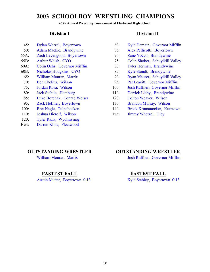**46 th Annual Wrestling Tournament at Fleetwood High School**

- 
- 50: Adam Mackie, Brandywine 65: Alex Pellicotti, Boyertown
- 55A: Zach Levengood, Boyertown 70: Zane Yocco, Brandywine
- 
- 60A: Colin Ochs, Governor Mifflin 80: Tyler Herman, Brandywine
- 60B: Nicholas Hodgkins, CYO 85: Kyle Stoudt, Brandywine
- 
- 
- 
- 
- 85: Luke Horchak, Conrad Weiser 120: Colton Weaver, Wilson
- 
- 
- 110: Joshua Dierolf, Wilson Hwt: Jimmy Whetzel, Oley
- 120: Tyler Rank, Wyomissing
- Hwt: Darren Kline, Fleetwood

## **Division I Division II**

- 45: Dylan Wetzel, Boyertown 60: Kyle Demain, Governor Mifflin
	-
	-
- 55B: Arthur Walsh, CYO 75: Colin Shober, Schuylkill Valley
	-
	-
	- 65: William Mourar, Matrix 90: Ryan Maurer, Schuylkill Valley
	- 70: Ben Chelius, Wilson 95: Pat Leavitt, Governor Mifflin
	- 75: Jordan Rosa, Wilson 100: Josh Ruffner, Governor Mifflin
	- 80: Jack Stabile, Hamburg 110: Derrick Lieby, Brandywine
		-
	- 95: Zack Heffner, Boyertown 130: Brandon Murray, Wilson
- 100: Bret Nagle, Tulpehocken 140: Brock Krumanocker, Kutztown
	-

Austin Mutter, Boyertown 0:13 Kyle Stabley, Boyertown 0:13

## **OUTSTANDING WRESTLER OUTSTANDING WRESTLER**

William Mourar, Matrix Josh Ruffner, Governor Mifflin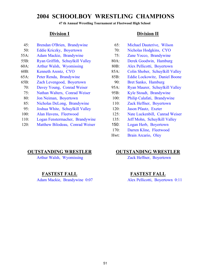**47 th Annual Wrestling Tournament at Fleetwood High School**

- 45: Brendan O'Brien, Brandywine 65: Michael Dauterive, Wilson
- 50: Eddie Kriczky, Boyertown 70: Nicholas Hodgkins, CYO
- 55A: Adam Mackie, Brandywine 75: Zane Yocco, Brandywine
- 55B: Ryan Griffith, Schuylkill Valley 80A: Derek Goodwin, Hamburg
- 
- 
- 
- 65B: Zach Levengood, Boyertown 90: Bret Sanko, Hamburg
- 
- 75: Nathan Walters, Conrad Weiser 95B: Kyle Stoudt, Brandywine
- 
- 85: Nicholas DeLong, Brandywine 110: Zack Heffner, Boyertown
- 95: Joshua White, Schuylkill Valley 120: Jason Pfautz, Exeter
- 
- 110: Logan Fenstermacher, Brandywine 135: Jeff Mohn, Schuylkill Valley
- 120: Matthew Bilodeau, Conrad Weiser 150: Logan Herb, Boyertown

## **Division I Division II**

- 
- 
- 
- 
- 60A: Arthur Walsh, Wyomissing 80B: Alex Pellicotti, Boyertown
- 60B: Kenneth Arentz, CYO 85A: Colin Shober, Schuylkill Valley
- 65A: Peter Renda, Brandywine 85B: Eddie Lockowitz, Daniel Boone
	-
	- 70: Davey Young, Conrad Weiser 95A: Ryan Maurer, Schuylkill Valley
		-
	- 80: Jon Neiman, Boyertown 100: Philip Calafati, Brandywine
		-
		-
- 100: Alan Havens, Fleetwood 125: Nate Luckenbill, Canrad Weiser
	-
	-
	- 170: Darren Kline, Fleetwood
	- Hwt: Brain Arcario, Oley

Arthur Walsh, Wyomissing Zack Heffner, Boyertown

Adam Mackie, Brandywine 0:07 Alex Pellicotti, Boyertown 0:11

### **OUTSTANDING WRESTLER OUTSTANDING WRESTLER**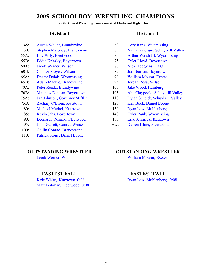**48 th Annual Wrestling Tournament at Fleetwood High School**

- 45: Austin Weller, Brandywine 60: Cory Rank, Wyomissing
- 
- 
- 55B: Eddie Kriczky, Boyertown 75: Tyler Lloyd, Boyertown
- 60A: Jacob Werner, Wilson 80: Nick Hodgkins, CYO
- 60B: Connor Moyer, Wilson 85: Jon Neiman, Boyertown
- 65A: Dexter Dolak, Wyomissing 90: William Mourar, Exeter
- 65B: Adam Mackie, Brandywine 95: Jordan Rosa, Wilson
- 70A: Peter Renda, Brandywine 100: Jake Wood, Hamburg
- 
- 75A: Jan Johnson, Governor Mifflin 110: Dylan Scheidt, Schuylkill Valley
- 75B: Zachary O'Brien, Kutztown 120: Ken Bock, Daniel Boone
- 80: Michael Merkel, Kutztown 130: Ryan Law, Muhlenberg
- 
- 
- 
- 100: Collin Conrad, Brandywine
- 110: Patrick Stone, Daniel Boone

Kyle White, Kutztown 0:08 Ryan Law, Muhlenberg 0:08 Matt Leibman, Fleetwood 0:08

### **Division I Division II**

- 
- 50: Stephen Maloney, Brandywine 65: Nathan Giorgio, Schuylkill Valley
- 55A: Eric Wily, Fleetwood 70: Arthur Walsh III, Wyomissing
	-
	-
	-
	-
	-
	-
- 70B: Matthew Duncan, Boyertown 105: Abe Claypoole, Schuylkill Valley
	-
	-
	-
	- 85: Kevin Jabs, Boyertown 140: Tyler Rank, Wyomissing
	- 90: Leonardo Rosario, Fleetwood 150: Erik Schmeck, Kutztown
	- 95: John Garrett, Conrad Weiser Hwt: Darren Kline, Fleetwood

### **OUTSTANDING WRESTLER OUTSTANDING WRESTLER**

Jacob Werner, Wilson William Mourar, Exeter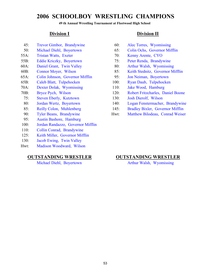**49 th Annual Wrestling Tournament at Fleetwood High School**

- 
- 
- 55A: Tristan Watts, Exeter 70: Kenny Arente, CYO
- 55B: Eddie Kriczky, Boyertown 75: Peter Renda, Brandywine
- 
- 
- 65A: Colin Johnson, Governor Mifflin 95: Jon Neiman, Boyertown
- 65B: Caleb Blatt, Tulpehocken 100: Ryan Daub, Tulpehocken
- 70A: Dexter Dolak, Wyomissing 110: Jake Wood, Hamburg
- 
- 75: Steven Eberly, Kutztown 130: Josh Dierolf, Wilson
- 
- 
- 
- 95: Austin Bashore, Hamburg
- 100: Jordan Randazzo, Governor Mifflin
- 110: Collin Conrad, Brandywine
- 125: Keith Miller, Governor Mifflin
- 130: Jacob Ewing, Twin Valley
- Hwt: Madison Woodward, Wilson

Michael Diehl, Boyertown Arthur Walsh, Wyomissing

### **Division I Division II**

- 45: Trevor Gimbor, Brandywine 60: Alec Torres, Wyomissing
- 50: Michael Diehl, Boyertown 65: Colin Ochs, Governor Mifflin
	-
	-
- 60A: Daniel Grant, Twin Valley 80: Arthur Walsh, Wyomissing
- 60B: Connor Moyer, Wilson 85: Keith Stednitz, Governor Mifflin
	-
	-
	-
- 70B: Bryce Pych, Wilson 120: Robert Fritzcharles, Daniel Boone
	-
	- 80: Jordan Wertz, Boyertown 140: Logan Fenstermacher, Brandywine
	- 85: Reilly Colon, Muhlenberg 145: Bradley Bixler, Governor Mifflin
	- 90: Tyler Beans, Brandywine Hwt: Matthew Bilodeau, Conrad Weiser

### **OUTSTANDING WRESTLER OUTSTANDING WRESTLER**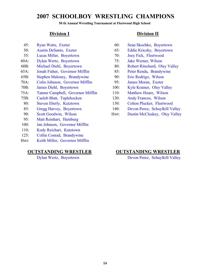**50 th Annual Wrestling Tournament at Fleetwood High School**

- 
- 50: Austin DeSanto, Exeter 65: Eddie Kriczky, Boyertown
- 55: Lucas Miller, Boyertown 70: Joey Fick, Fleetwood
- 60A: Dylan Wertz, Boyertown 75: Jake Werner, Wilson
- 60B: Michael Diehl, Boyertown 80: Robert Ritschard, Oley Valley
- 65A: Jonah Fisher, Governor Mifflin 85: Peter Renda, Brandywine
- 65B: Stephen Maloney, Brandywine 90: Eric Rodrigo, Wilson
- 70A: Colin Johnson, Governor Mifflin 95: James Moran, Exeter
- 
- 75A: Tanner Campbell, Governor Mifflin 110: Matthew Hoare, Wilson
- 75B: Caeleb Blatt, Tuplehocken 120: Andy Francos, Wilson
- 
- 
- 
- 95: Matt Reinhart, Hamburg
- 100: Jan Johnson, Governor Mifflin
- 110: Kody Reichart, Kutztown
- 125: Collin Conrad, Brandywine
- Hwt: Keith Miller, Governor Mifflin

## **Division I Division II**

- 45: Ryan Watts, Exeter 60: Sean Skochko, Boyertown
	-
	-
	-
	-
	-
	-
	-
- 70B: James Diehl, Boyertown 100: Kyle Kramer, Oley Valley
	-
	-
	- 80: Steven Eberly, Kutztown 130: Colton Plucker, Fleetwood
	- 85: Gregg Harvey, Boyertown 140: Devon Perez, Schuylkill Valley
	- 90: Scott Goodwin, Wilson Hwt: Dustin McCluskey, Oley Valley

## **OUTSTANDING WRESTLER OUTSTANDING WRESTLER**

Dylan Wertz, Boyertown Devon Perez, Schuylkill Valley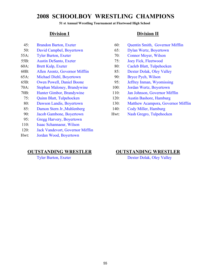**51 st Annual Wrestling Tournament at Fleetwood High School**

- 
- 50: David Campbel, Boyertown 65: Dylan Wertz, Boyertown
- 
- 55B: Austin DeSanto, Exeter 75: Joey Fick, Fleetwood
- 
- 60B: Allen Arentz, Governor Mifflin 85: Dexter Dolak, Oley Valley
- 65A: Michael Diehl, Boyertown 90: Bryce Pych, Wilson
- 65B: Owen Powell, Daniel Boone 95: Jeffrey Inman, Wyomissing
- 70A: Stephan Maloney, Brandywine 100: Jordan Wertz, Boyertown
- 
- 
- 
- 85: Damon Stern Jr., Muhlenberg 140: Cody Miller, Hamburg
- 
- 95: Gregg Harvery, Boyertown
- 110: Isaac Schannaeur, Wilson
- 120: Jack Vandevort, Governor Mifflin
- Hwt: Jordan Wood, Boyertown

### **Division I Division II**

- 45: Brandon Barton, Exeter 60: Quentin Smith, Governor Mifflin
	-
- 55A: Tyler Burton, Exeter 70: Connor Moyer, Wilson
	-
- 60A: Brett Kulp, Exeter 80: Caeleb Blatt, Tulpehocken
	-
	-
	-
	-
- 70B: Hunter Gimbor, Brandywine 110: Jan Johnson, Governor Mifflin
	- 75: Quinn Blatt, Tulpehocken 120: Austin Bashore, Hamburg
	- 80: Dawson Landis, Boyertown 130: Matthew Acampora, Governor Mifflin
		-
	- 90: Jacob Gambone, Boyertown Hwt: Nash Gregro, Tulpehocken

### **OUTSTANDING WRESTLER OUTSTANDING WRESTLER**

Tyler Burton, Exeter **Dexter Dolak**, Oley Valley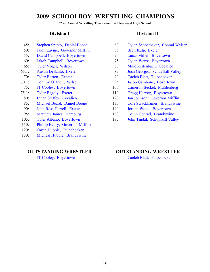**52 nd Annual Wrestling Tournament at Fleetwood High School**

- 
- 50: Jalon Lavine, Governor Mifflin 65: Brett Kulp, Exeter
- 
- 
- 
- 
- 
- 
- 
- 
- 
- 
- 
- 
- 
- 110: Phillip Henry, Governor Mifflin
- 120: Owen Dubble, Tulpehocken
- 130: Micheal Hubble, Brandywine

## **Division I Division II**

- 45: Stephen Spitko, Daniel Boone 60: Dylan Schoemaker, Conrad Weiser
	-
- 55: David Campbell, Boyertown 70: Lucas Miller, Boyertown
- 60: Jakob Campbell, Boyertown 75: Dylan Wertz, Boyertown
- 65: Tyler Vogel, Wilson 80: Mike Reitenbach, Cocalico
- 65.1: Austin DeSanto, Exeter 85: Josh Georgio, Schuylkill Valley
	- 70: Tyler Borton, Exeter 90: Caeleb Blatt, Tulpehocken
- 70.1: Tommy O'Brien, Wilson 95: Jacob Gambone, Boyertown
	- 75: JT Cooley, Boyertown 100: Cameron Becket, Muhlenberg
- 75.1: Tyler Bagoly, Exeter 110: Gregg Harvey, Boyertown
	- 80: Ethan Steffey, Cocalico 120: Jan Johnson, Governor Mifflin
	- 85: Michael Beard, Daniel Boone 130: Cole Swackhamer, Brandywine
	- 90: John Ross Harrell, Exeter 140: Jordan Wood, Boyertown
	- 95: Matthew James, Hamburg 160: Collin Conrad, Brandywine
- 105: Tyler Albano, Boyertown 185: John Tindal, Schuylkill Valley

## **OUTSTANDING WRESTLER OUTSTANDING WRESTLER**

JT Cooley, Boyertown Caeleb Blatt, Tulpehocken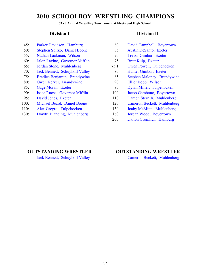**53 rd Annual Wrestling Tournament at Fleetwood High School**

- 
- 50: Stephen Spitko, Daniel Boone 65: Austin DeSanto, Exeter
- 55: Nathan Lackman, Wilson 70: Trevor Gimbor, Exeter
- 60: Jalon Lavine, Governor Mifflin 75: Brett Kulp, Exeter
- 
- 70: Jack Bennett, Schuylkill Valley 80: Hunter Gimbor, Exeter
- 
- 80: Owen Kerver, Brandywine 90: Elliot Bobb, Wilson
- 
- 90: Isaac Ruoss, Governor Mifflin 100: Jacob Gambone, Boyertown
- 
- 100: Michael Beard, Daniel Boone 120: Cameron Beckett, Muhlenberg
- 110: Alex Gregro, Tulpehocken 130: Joaby McMinn, Muhlenberg
- 130: Dmytri Blanding, Muhlenberg 160: Jordan Wood, Boyertown

### **Division I Division II**

- 45: Parker Davidson, Hamburg 60: David Campbell, Boyertown
	-
	-
	-
- 65: Jordan Stone, Muhlenberg 75.1: Owen Powell, Tulpehocken
	-
- 75: Bradlee Benjamin, Brandywine 85: Stephen Maloney, Brandywine
	-
- 85: Gage Moran, Exeter 95: Dylan Miller, Tulpehocken
	-
- 95: David Jones, Exeter 110: Damon Stern Jr, Muhlenberg
	-
	-
	-
	- 200: Dalton Gromlich, Hamburg

### **OUTSTANDING WRESTLER OUTSTANDING WRESTLER**

Jack Bennett, Schuylkill Valley Cameron Beckett, Muhlenberg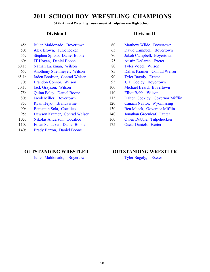**54 th Annual Wrestling Tournament at Tulpehocken High School**

- 
- 50: Alex Brown, Tulpehocken 65: David Campbell, Boyertown
- 55: Stephen Spitko, Daniel Boone 70: Jakob Campbell, Boyertown
- 60: JT Hogan, Daniel Boone 75: Austin DeSanto, Exeter
- 60.1: Nathan Lackman, Wilson 80: Tyler Vogel, Wilson
- 65: Anothony Stienmeyer, Wilson 85: Dallas Kramer, Conrad Weiser
- 65.1: Jaden Bookser, Conrad Weiser 90: Tyler Bagoly, Exeter
- 70: Brandon Connor, Wilson 95: J. T. Cooley, Boyertown
- 
- 75: Quinn Foley, Daniel Boone 110: Elliot Bobb, Wilson
- 
- 
- 
- 95: Dawson Kramer, Conrad Weiser 140: Jonathan Greenleaf, Exeter
- 105: Nikolas Anderson, Cocalico 160: Owen Dubble, Tulpehocken
- 110: Ethan Schucker, Daniel Boone 175: Oscar Daniels, Exeter
- 140: Brady Barton, Daniel Boone

### **Division I Division II**

- 45: Julien Maldonado, Boyertown 60: Matthew Wilde, Boyertown
	-
	-
	-
	-
	-
	-
	-
- 70.1: Jack Grayson, Wilson 100: Michael Beard, Boyertown
	-
	- 80: Jacob Miller, Boyertown 115: Dalton Gockley, Governor Mifflin
	- 85: Ryan Heydt, Brandywine 120: Canaan Naylor, Wyomissing
	- 90: Benjamin Sola, Cocalico 130: Ben Maack, Governor Mifflin
		-
		-
		-

## **OUTSTANDING WRESTLER OUTSTANDING WRESTLER**

Julien Maldonado, Boyertown Tyler Bagoly, Exeter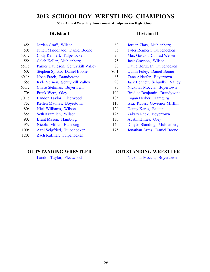**55 th Annual Wrestling Tournament at Tulpehocken High School**

- 45: Jordan Graff, Wilson 60: Jordan Ziats, Muhlenberg
- 50: Julien Maldonado, Daniel Boone 65: Tyler Reimert, Tulpehocken
- 50.1: Cody Reimert, Tulpehocken 70: Max Gaston, Conrad Weiser
- 55: Caleb Keller, Muhlenberg 75: Jack Grayson, Wilson
- 55.1: Parker Davidson, Schuylkill Valley 80: David Bortz, Jr. Tulpehocken
- 60: Stephen Spitko, Daniel Boone 80.1: Quinn Foley, Daniel Boone
- 60.1: Noah Frack, Brandywine 85: Zane Alderfer, Boyertown
- 65: Kyle Vernon, Schuylkill Valley 90: Jack Bennett, Schuylkill Valley
- 65.1: Chase Stehman, Boyertown 95: Nickolas Moccia, Boyertown
- 
- 70.1: Landon Taylor, Fleetwood 105: Logan Herber, Hamgurg
	-
	- 80: Nick Williams, Wilson 120: Denny Karas, Exeter
	-
	- 90: Brant Mason, Hamburg 130: Austin Himes, Oley
	-
- 
- 120: Zach Ruffner, Tulpehocken

### **Division I Division II**

- 
- 
- 
- 
- 
- 
- 
- 
- 
- 70: Frank Wetz, Oley 100: Bradlee Benjamin, Brandywine
	-
- 75: Kellen Mathias, Boyertown 110: Issac Ruoss, Governor Mifflin
	-
- 85: Seth Kramlich, Wilson 125: Zakary Reck, Boyertown
	-
- 95: Nicolas Miller, Hamburg 140: Dmytri Blanding, Muhlenberg
- 100: Axel Seigfried, Tulpehocken 175: Jonathan Arms, Daniel Boone

### **OUTSTANDING WRESTLER OUTSTANDING WRESTLER**

Landon Taylor, Fleetwood Nickolas Moccia, Boyertown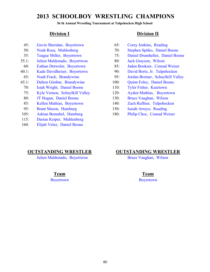**56 th Annual Wrestling Tournament at Tulpehocken High School**

- 45: Gavin Sheridan, Boyertown 65: Corey Jenkins, Reading
- 
- 
- 55.1: Julien Maldonado, Boyertwon 80: Jack Grayson, Wilson
- 
- 
- 
- 
- 70: Isiah Wright, Daniel Boone 110: Tyler Fisher, Kutztown
- 75: Kyle Vernon, Schuylkill Valley 120: Ayden Mathias, Boyertown
- 
- 
- 
- 
- 115: Darian Keiper, Muhlenberg
- 160: Elijah Velez, Daniel Boone

### **Division I Division II**

- 
- 50: Noah Rosa, Muhlenberg 70: Stephen Spitko, Daniel Boone
- 55: Teague Miller, Boyertown 75: Daniel Drumheller, Daniel Boone
	-
- 60: Eathan Detweler, Boyertown 85: Jaden Bookser, Conrad Weiser
- 60.1: Kade Davidheiser, Boyertown 90: David Bortz, Jr. Tulpehocken
	- 65: Noah Frack, Brandywine 95: Jordan Breiner, Schuylkill Valley
- 65.1: Dalton Gimbar, Brandywine 100: Quinn Foley, Daniel Boone
	-
	-
	- 80: JT Hogan, Daniel Boone 130: Bruce Vaughan, Wilson
	- 85: Kellen Mathias, Boyertown 140: Zach Ruffner, Tulpehocken
	- 95: Brant Mason, Hamburg 150: Isaiah Arroyo, Reading
- 105: Adrian Bernabel, Hamburg 180: Philip Choc, Conrad Weiser

### **OUTSTANDING WRESTLER**

Julien Maldonado, Boyertwon Bruce Vaughan, Wilson

Boyertown Boyertown

### **OUTSTANDING WRESTLER**

**Team Team**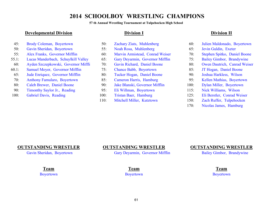**57 th Annual Wrestling Tournament at Tulpehocken High School**

### **Developmental Division Division I**

50: Gavin Sheridan, Boyertown 55: Noah Rosa, Muhlenberg 65: Jevin Guldin, Exeter 55: Alex Franks, Governor Mifflin 60: Marvin Armistead, Conrad Weiser 70: Stephen Spitko, Daniel Boone 55.1: Lucas Manderbach, Schuylkill Valley 65: Gary Deyarmin, Governor Mifflin 75: Bailey Gimbor, Brandywine 60: Ayden Szczepkowski, Governor Miffli 70: Gavin Richard, Daniel Boone 80: Owen Dautrich, Canrad Weiser 60.1: Samuel Moyer, Governor Mifflin 75: Chance Babb, Boyertown 85: JT Hogan, Daniel Boone 65: Jude Enriquez, Governor Mifflin 80: Tucker Hogan, Daniel Boone 90: Joshua Harkless, Wilson 70: Anthony Famularo, Boyertown 85: Cameron Harris, Hamburg 95: Kellen Mathias, Boyertown 80: Caleb Brewer, Daniel Boone 90: Jake Blanski, Governor Mifflin 100: Dylan Miller, Boyertown 90: Timonthy Saylor Jr., Reading 95: Eli Willman, Boyertown 115: Nick Williams, Wilson 100: Gabriel Davis, Reading 100: Tristan Baer, Hamburg 125: Eli Berstler, Conrad Weiser

| 0:               | Zachary Ziats, Muhlenberg       |
|------------------|---------------------------------|
| 5:               | Noah Rosa, Muhlenberg           |
| 50:              | Marvin Armistead, Conrad Weise  |
| 5:               | Gary Deyarmin, Governor Mifflin |
| $\overline{0}$ : | Gavin Richard, Daniel Boone     |
| 5:               | Chance Babb, Boyertown          |
| 30:              | Tucker Hogan, Daniel Boone      |
| 35:              | Cameron Harris, Hamburg         |
| 0:               | Jake Blanski, Governor Mifflin  |

- 
- 
- 

### **Division II**

 45: Brody Coleman, Boyertown 50: Zachary Ziats, Muhlenberg 60: Julien Maldonado, Boyertown 110: Mitchell Miller, Kutztown 150: Zach Ruffer, Tulpehocken 170: Nicolas James, Hamburg

### **OUTSTANDING WRESTLER**

### **OUTSTANDING WRESTLER**

Gavin Sheridan, Boyertown Gary Deyarmin, Governor Mifflin Bailey Gimbor, Brandywine

### **OUTSTANDING WRESTLER**

**Team Team** Boyertown Boyertown **Team**

Boyertown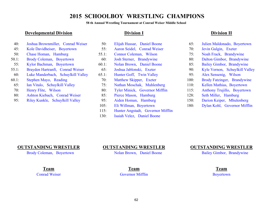**58 th Annual Wrestling Tournament at Conrad Weiser Middle School**

## **Developmental Division Division II Division II Division II Division II**

| 40:   | Joshua Brownmiller, Conrad Weiser  | 50:   | Elijah Hussar, Daniel Boone    | 65:  | Julien Maldonado, Boyertown    |
|-------|------------------------------------|-------|--------------------------------|------|--------------------------------|
| 45:   | Kole Davidheiser, Boyertown        | 55:   | Aaron Seidel, Conrad Weiser    | 70:  | Jevin Gulgin, Exeter           |
| 50:   | Chase Homan, Hamburg               | 55.1: | Connor Coleman, Wilson         | 75:  | Noah Frack, Brandywine         |
| 50.1: | Brody Coleman, Boyertown           | 60:   | Josh Sterner, Brandywine       | 80:  | Dalton Gimbor, Brandywine      |
| 55:   | Kylor Bachman, Boyertown           | 60.1: | Nolan Brown, Daniel Boone      | 85:  | Bailey Gimbor, Brandywine      |
| 55.1: | Brayden Hartranft, Conrad Weiser   | 65:   | Joshua Jablonski, Exeter       | 90:  | Kyle Vernon, Schuylkill Valley |
| 60:   | Luke Manderbach, Schuylkill Valley | 65.1: | Hunter Goff, Twin Valley       | 95:  | Alex Sensenig, Wilson          |
| 60.1: | Stephen Mayo, Reading              | 70:   | Matthew Skipper, Exeter        | 100: | Brody Fatzinger, Brandywine    |
| 65:   | Ian Vitalo, Schuylkill Valley      | 75:   | Nathan Moschak, Muhlenberg     | 110: | Kellen Mathias, Boyertown      |
| 70:   | Henry Flite, Wilson                | 80:   | Tyler Minick, Governor Mifflin | 115: | Anthony Trujillo, Boyertown    |
| 80:   | Ashton Kiebach, Conrad Weiser      | 85:   | Pierce Mason, Hamburg          | 128: | Seth Miller, Hamburg           |
| 95:   | Riley Kunkle, Schuylkill Valley    | 95:   | Aiden Homan, Hamburg           | 150: | Darion Keiper, Mhulenberg      |
|       |                                    | 105:  | Eli Willman, Boyertown         | 180: | Dylan Kohl, Governor Mifflin   |

| 50:   | Elijah Hussar, Daniel Boone       | 65:  | Julien Maldonado, Boyertown   |
|-------|-----------------------------------|------|-------------------------------|
| 55:   | Aaron Seidel, Conrad Weiser       | 70:  | Jevin Gulgin, Exeter          |
| 55.1: | Connor Coleman, Wilson            | 75:  | Noah Frack, Brandywine        |
| 60:   | Josh Sterner, Brandywine          | 80:  | Dalton Gimbor, Brandywine     |
| 60.1: | Nolan Brown, Daniel Boone         | 85:  | Bailey Gimbor, Brandywine     |
| 65:   | Joshua Jablonski, Exeter          | 90:  | Kyle Vernon, Schuylkill Valle |
| 65.1: | Hunter Goff, Twin Valley          | 95:  | Alex Sensenig, Wilson         |
| 70:   | Matthew Skipper, Exeter           | 100: | Brody Fatzinger, Brandywine   |
| 75:   | Nathan Moschak, Muhlenberg        | 110: | Kellen Mathias, Boyertown     |
| 80:   | Tyler Minick, Governor Mifflin    | 115: | Anthony Trujillo, Boyertown   |
| 85:   | Pierce Mason, Hamburg             | 128: | Seth Miller, Hamburg          |
| 95:   | Aiden Homan, Hamburg              | 150: | Darion Keiper, Mhulenberg     |
| 105:  | Eli Willman, Boyertown            | 180: | Dylan Kohl, Governor Mifflin  |
| 115:  | Hunter Angstadt, Governor Mifflin |      |                               |

130: Isaiah Velez, Daniel Boone

| 65:  | Julien Maldonado, Boyertown    |
|------|--------------------------------|
| 70:  | Jevin Gulgin, Exeter           |
| 75:  | Noah Frack, Brandywine         |
| 80:  | Dalton Gimbor, Brandywine      |
| 85:  | Bailey Gimbor, Brandywine      |
| 90:  | Kyle Vernon, Schuylkill Valley |
| 95:  | Alex Sensenig, Wilson          |
| 100: | Brody Fatzinger, Brandywine    |
| 110: | Kellen Mathias, Boyertown      |
| 115: | Anthony Trujillo, Boyertown    |
| 128: | Seth Miller, Hamburg           |
| 150: | Darion Keiper, Mhulenberg      |
| 180: | Dylan Kohl, Governor Mifflin   |

## **OUTSTANDING WRESTLER OUTSTANDING WRESTLER OUTSTANDING WRESTLER**

Brody Coleman, Boyertown Nolan Brown, Daniel Boone Bailey Gimbor, Brandywine

Conrad Weiser Governor Mifflin Boyertown **Team Team Team**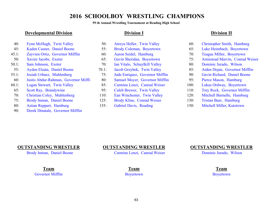**59 th Annual Wrestling Tournament at Reading High School**

### **Developmental Division Division Division II Division II Division II**

| 40:   | Fynn McHugh, Twin Valley          |
|-------|-----------------------------------|
| 45:   | Kaden Casner, Daniel Boone        |
| 45.1: | Zayvien Ortiz, Governor Mifflin   |
| 50:   | Xavier Jacobs, Exeter             |
| 50.1: | Sam Johnson, Exeter               |
| 55:   | Ayden Elzata, Daniel Boone        |
| 55.1: | Josiah Urbaez, Muhlenberg         |
| 60:   | Justis Abdur-Rahman, Governor Mif |
| 60.1: | Logan Stewart, Twin Valley        |
| 65:   | Scott Ray, Brandywine             |
| 70:   | Christian Coley, Muhlenberg       |
| 75:   | Brody Inman, Daniel Boone         |
| 80:   | <b>Astian Reppert, Hamburg</b>    |
| 90:   | Derek Dinatale, Governor Mifflin  |

|      | 50:   | Atreyu Heller, Twin Valley      | 60:           | Christopher Smith, Hamburg                                                                                  |
|------|-------|---------------------------------|---------------|-------------------------------------------------------------------------------------------------------------|
|      | 55:   | Brody Coleman, Boyertown        | 65:           | Luke Heimbach, Boyertown                                                                                    |
|      | 60:   | Aaron Seidel, Hamburg           | 70:           | Teague Miller, Boyertown                                                                                    |
|      | 65:   | Gavin Sheridan, Boyertown       | 75:           | Armistead Marvin, Conrad Wei                                                                                |
|      | 70:   | Ian Vitalo, Schuylkill Valley   | 80:           | Dominic Jurado, Wilson                                                                                      |
|      | 70.1: | Jacob Grzybek, Twin Valley      | 85:           | Aiden Dojan, Governor Mifflin                                                                               |
|      | 75:   | Jude Enriquez, Governor Mifflin | 90:           | Gavin Richard, Daniel Boone                                                                                 |
| ffli | 80:   | Samuel Moyer, Governor Mifflin  | 95:           | Pierce Mason, Hamburg                                                                                       |
|      | 85:   | Carmine Lenzi, Canrad Weiser    | 100:          | Lukas Ordway, Boyertown                                                                                     |
|      | 95:   | Caleb Brewer, Twin Valley       | 110:          | Trey Rock, Governor Mifflin                                                                                 |
|      |       |                                 | $\sim$ $\sim$ | $\mathbf{r}$ , and $\mathbf{r}$ , and $\mathbf{r}$ , and $\mathbf{r}$ , and $\mathbf{r}$ , and $\mathbf{r}$ |

- 
- 
- 

- 60: Christopher Smith, Hamburg
- 65: Luke Heimbach, Boyertown
- 70: Teague Miller, Boyertown
- 75: Armistead Marvin, Conrad Weiser
- 80: Dominic Jurado, Wilson
- 
- flin 50.1: Gavin Richard, Daniel Boone
	-
- er 100: Lukas Ordway, Boyertown
	- 110: Trey Rock, Governor Mifflin
- 110: Ean Winchester, Twin Valley 120: Mitchell Burnelle, Hamburg
- 125: Brody Kline, Conrad Weiser 130: Tristan Baer, Hamburg
- 155: Gabriel Davis, Reading 150: Mitchell Miller, Kutztown

Brody Inman, Daniel Boone Carmine Lenzi, Canrad Weiser Dominic Jurado, Wilson

## **OUTSTANDING WRESTLER OUTSTANDING WRESTLER OUTSTANDING WRESTLER**

Governor Mifflin Boyertown Boyertown Boyertown

**Team Team Team**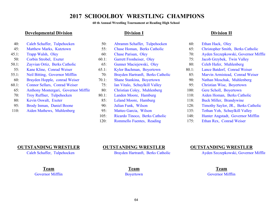**60 th Annual Wrestling Tournament at Reading High School**

### **Developmental Division Division Division II Division II Division II**

## 40: Caleb Schaffer, Tulpehocken 50: Abramm Schaffer, Tulpehocken 45: Matthew Marks, Kutztown 55: Chase Homan, Berks Catholic 50: Corbin Strobel, Exeter 60.1 50.1: Zayvian Ortiz, Berks Catholic 65: 55: Kane Kline, Conrad Weiser 65.1 55.1: Neil Bitting, Governor Mifflin 70: Brayden Hartranft, Berks Catholic 60: Brayden Hopple, conrad Weiser 70.1 60.1: Connor Sellars, Conrad Weiser 75: 65: Anthony Montergari, Governor Mifflir 80: 70: Troy Ruffner, Tulpehocken 80.1 80: Kevin Oswalt, Exeter 85: Leland Moore, Hamburg 95: Brody Inman, Daniel Boone 90: Julian Funk, Wilson 110: Aiden Mathews, Muhlenberg 95: Matteo Garcia, Wilson

|                | Abramm Schaffer, Tulpehock      |
|----------------|---------------------------------|
| $\vdots$       | Chase Homan, Berks Catholic     |
| $\vdots$       | <b>Chase Parisan, Oley</b>      |
| $\vdots$       | <b>Garrett Fronheiser, Oley</b> |
| $\vdots$       | Gunner Maciejewski, Oley        |
| $\vdots$       | Kylor Bachman, Boyertown        |
| $\vdots$       | Brayden Hartranft, Berks Catl   |
| $\vdots$       | Shane Stankina, Boyertown       |
| $\vdots$       | Ian Vitalo, Schuylkill Valley   |
| $\vdots$       | Christian Coley, Muhlenberg     |
| $\ddot{\cdot}$ | Landen Moore, Hamburg           |
|                | $\mathbf{1}$                    |

- 
- 
- 105: Ricardo Tinoco, Berks Catholic
- 120: Rommello Fuentes, Reading 175: Ethan Rex, Conrad Weiser

| 40:   | Caleb Schaffer, Tulpehocken          | 50:         | Abramm Schaffer, Tulpehocken      | 60:   | Ethan Hack, Oley                     |
|-------|--------------------------------------|-------------|-----------------------------------|-------|--------------------------------------|
| 45:   | Matthew Marks, Kutztown              | 55:         | Chase Homan, Berks Catholic       | 65:   | Christopher Smith, Berks Catholic    |
| 45.1: | Trapp Walsh, Oley                    | 60:         | Chase Parisan, Oley               | 70:   | Ayden Szczepkowski, Governor Mifflir |
| 50:   | Corbin Strobel, Exeter               | 60.1:       | Garrett Fronheiser, Oley          | 75:   | Jacob Grzybek, Twin Valley           |
| 50.1: | Zayvian Ortiz, Berks Catholic        | 65:         | Gunner Maciejewski, Oley          | 80:   | Celeb Hafer, Muhlenberg              |
| 55:   | Kane Kline, Conrad Weiser            | 65.1:       | Kylor Bachman, Boyertown          | 80.1: | Lance Batdorf, Conrad Weiser         |
| 55.1: | Neil Bitting, Governor Mifflin       | 70:         | Brayden Hartranft, Berks Catholic | 85:   | Marvin Armistead, Conrad Weiser      |
| 60:   | Brayden Hopple, conrad Weiser        | 70.1:       | Shane Stankina, Boyertown         | 90:   | Nathan Moschak, Muhlenberg           |
| 60.1: | Connor Sellars, Conrad Weiser        | 75:         | Ian Vitalo, Schuylkill Valley     | 95:   | Christian Wise, Boyertown            |
| 65:   | Anthony Montergari, Governor Mifflir | 80:         | Christian Coley, Muhlenberg       | 100:  | Gere Scholl, Boyertown               |
| 70:   | Troy Ruffner, Tulpehocken            | 80.1:       | Landen Moore, Hamburg             | 110:  | Aiden Homan, Berks Catholic          |
| 80:   | Kevin Oswalt, Exeter                 | 85:         | Leland Moore, Hamburg             | 118:  | Buck Miller, Brandywine              |
| 95:   | Brody Inman, Daniel Boone            | 90:         | Julian Funk, Wilson               | 128:  | Timothy Saylor, JR., Berks Catholic  |
| 110:  | Aiden Mathews, Muhlenberg            | 95:         | Matteo Garcia, Wilson             | 135:  | Tethan Yoh, Schuylkill Valley        |
|       |                                      | 105:        | Ricardo Tinoco, Berks Catholic    | 148:  | Hunter Angstadt, Governor Mifflin    |
|       |                                      | 12 $\Omega$ | $Domm$ alla Fuentes $Dooding$     | 175.  | $Fthan Dov$ Conrad Waigar            |

## **OUTSTANDING WRESTLER OUTSTANDING WRESTLER OUTSTANDING WRESTLER**

Governor Mifflin Boyertown Boyertown Governor Mifflin

Caleb Schaffer, Tulpehocken Brayden Hartranft, Berks Catholic Ayden Szczepkowski, Governor Mifflir

**Team Team Team**